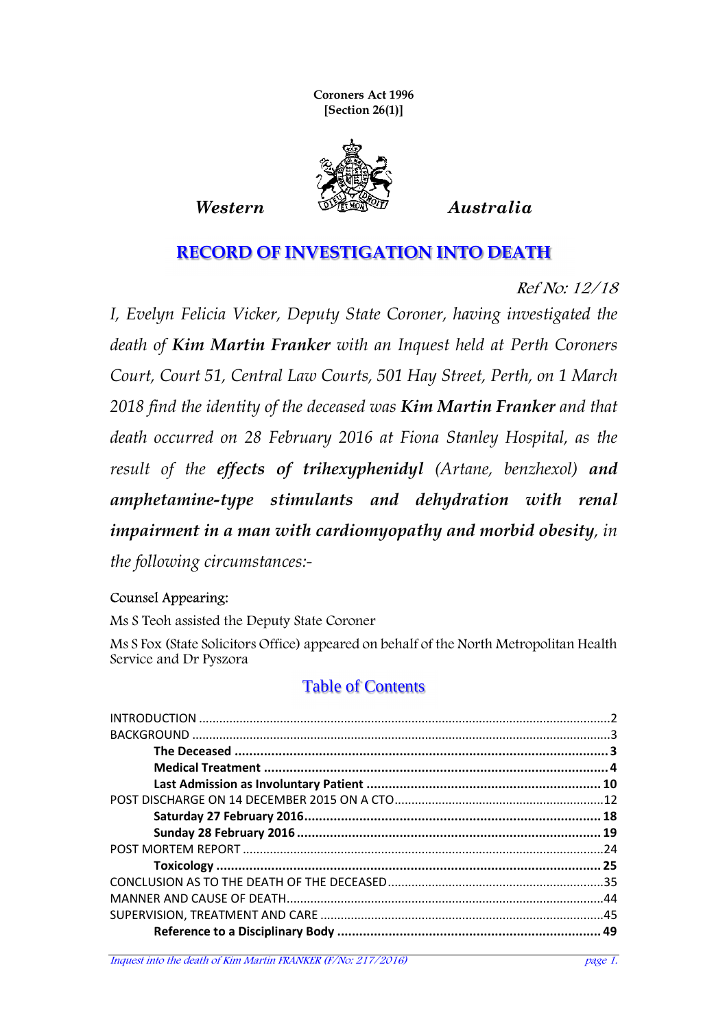**Coroners Act 1996 [Section 26(1)]** 



#### **RECORD OF INVESTIGATION INTO DEATH**

Ref No: 12/18

*I, Evelyn Felicia Vicker, Deputy State Coroner, having investigated the death of Kim Martin Franker with an Inquest held at Perth Coroners Court, Court 51, Central Law Courts, 501 Hay Street, Perth, on 1 March 2018 find the identity of the deceased was Kim Martin Franker and that death occurred on 28 February 2016 at Fiona Stanley Hospital, as the result of the effects of trihexyphenidyl (Artane, benzhexol) and amphetamine-type stimulants and dehydration with renal impairment in a man with cardiomyopathy and morbid obesity, in the following circumstances:-* 

#### Counsel Appearing:

Ms S Teoh assisted the Deputy State Coroner

Ms S Fox (State Solicitors Office) appeared on behalf of the North Metropolitan Health Service and Dr Pyszora

#### Table of Contents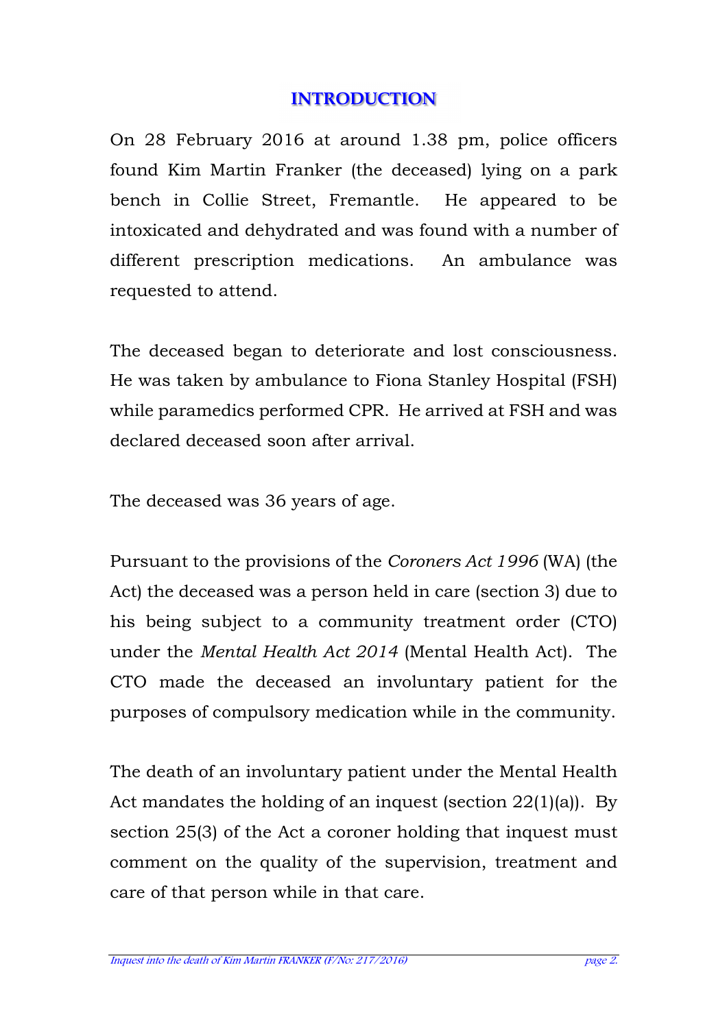### **INTRODUCTION**

On 28 February 2016 at around 1.38 pm, police officers found Kim Martin Franker (the deceased) lying on a park bench in Collie Street, Fremantle. He appeared to be intoxicated and dehydrated and was found with a number of different prescription medications. An ambulance was requested to attend.

The deceased began to deteriorate and lost consciousness. He was taken by ambulance to Fiona Stanley Hospital (FSH) while paramedics performed CPR. He arrived at FSH and was declared deceased soon after arrival.

The deceased was 36 years of age.

Pursuant to the provisions of the *Coroners Act 1996* (WA) (the Act) the deceased was a person held in care (section 3) due to his being subject to a community treatment order (CTO) under the *Mental Health Act 2014* (Mental Health Act). The CTO made the deceased an involuntary patient for the purposes of compulsory medication while in the community.

The death of an involuntary patient under the Mental Health Act mandates the holding of an inquest (section 22(1)(a)). By section 25(3) of the Act a coroner holding that inquest must comment on the quality of the supervision, treatment and care of that person while in that care.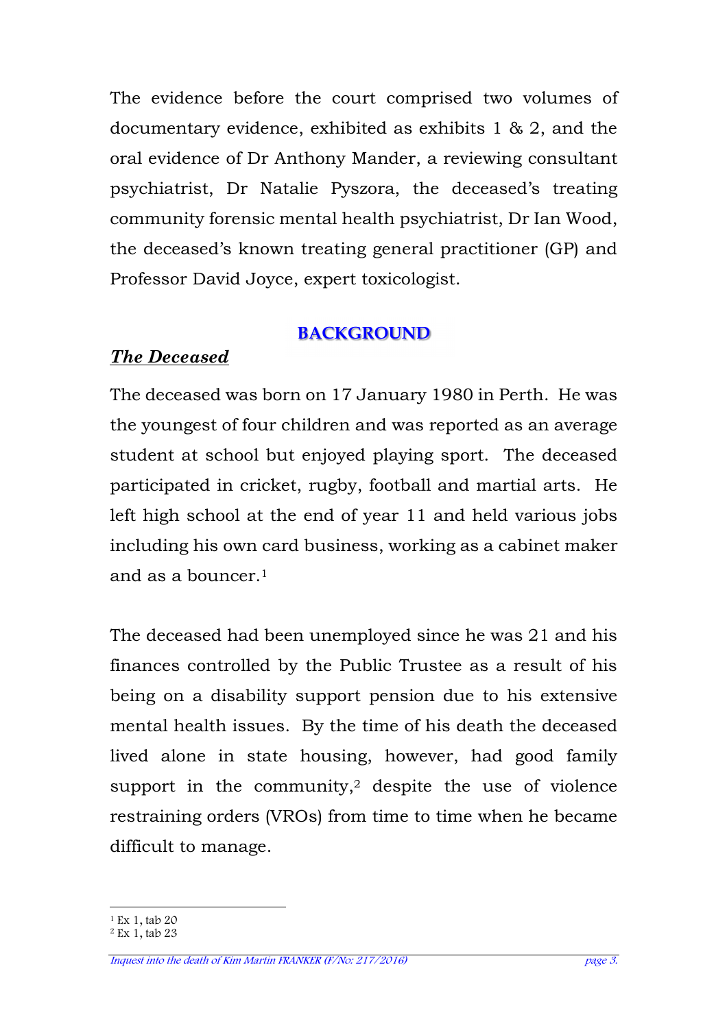The evidence before the court comprised two volumes of documentary evidence, exhibited as exhibits 1 & 2, and the oral evidence of Dr Anthony Mander, a reviewing consultant psychiatrist, Dr Natalie Pyszora, the deceased's treating community forensic mental health psychiatrist, Dr Ian Wood, the deceased's known treating general practitioner (GP) and Professor David Joyce, expert toxicologist.

### **BACKGROUND**

# *The Deceased*

The deceased was born on 17 January 1980 in Perth. He was the youngest of four children and was reported as an average student at school but enjoyed playing sport. The deceased participated in cricket, rugby, football and martial arts. He left high school at the end of year 11 and held various jobs including his own card business, working as a cabinet maker and as a bouncer.<sup>1</sup>

The deceased had been unemployed since he was 21 and his finances controlled by the Public Trustee as a result of his being on a disability support pension due to his extensive mental health issues. By the time of his death the deceased lived alone in state housing, however, had good family support in the community,<sup>2</sup> despite the use of violence restraining orders (VROs) from time to time when he became difficult to manage.

 $\overline{a}$ <sup>1</sup> Ex 1, tab 20

 $2$  Ex 1, tab 23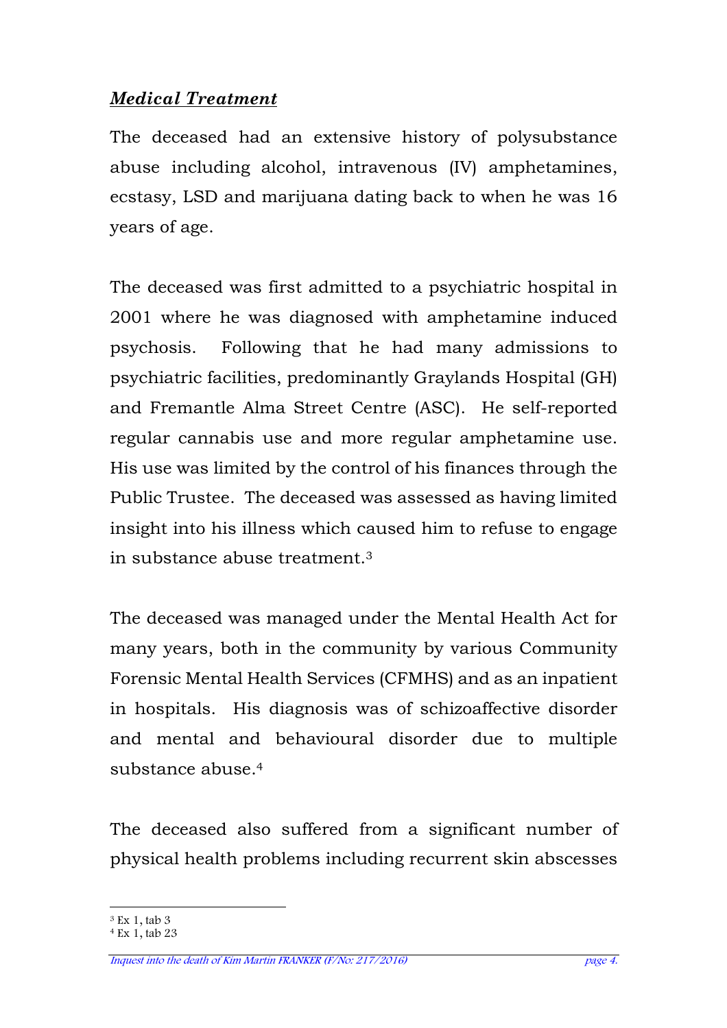### *Medical Treatment*

The deceased had an extensive history of polysubstance abuse including alcohol, intravenous (IV) amphetamines, ecstasy, LSD and marijuana dating back to when he was 16 years of age.

The deceased was first admitted to a psychiatric hospital in 2001 where he was diagnosed with amphetamine induced psychosis. Following that he had many admissions to psychiatric facilities, predominantly Graylands Hospital (GH) and Fremantle Alma Street Centre (ASC). He self-reported regular cannabis use and more regular amphetamine use. His use was limited by the control of his finances through the Public Trustee. The deceased was assessed as having limited insight into his illness which caused him to refuse to engage in substance abuse treatment.<sup>3</sup>

The deceased was managed under the Mental Health Act for many years, both in the community by various Community Forensic Mental Health Services (CFMHS) and as an inpatient in hospitals. His diagnosis was of schizoaffective disorder and mental and behavioural disorder due to multiple substance abuse.<sup>4</sup>

The deceased also suffered from a significant number of physical health problems including recurrent skin abscesses

 $\overline{a}$ <sup>3</sup> Ex 1, tab 3

 $4$  Ex 1, tab 23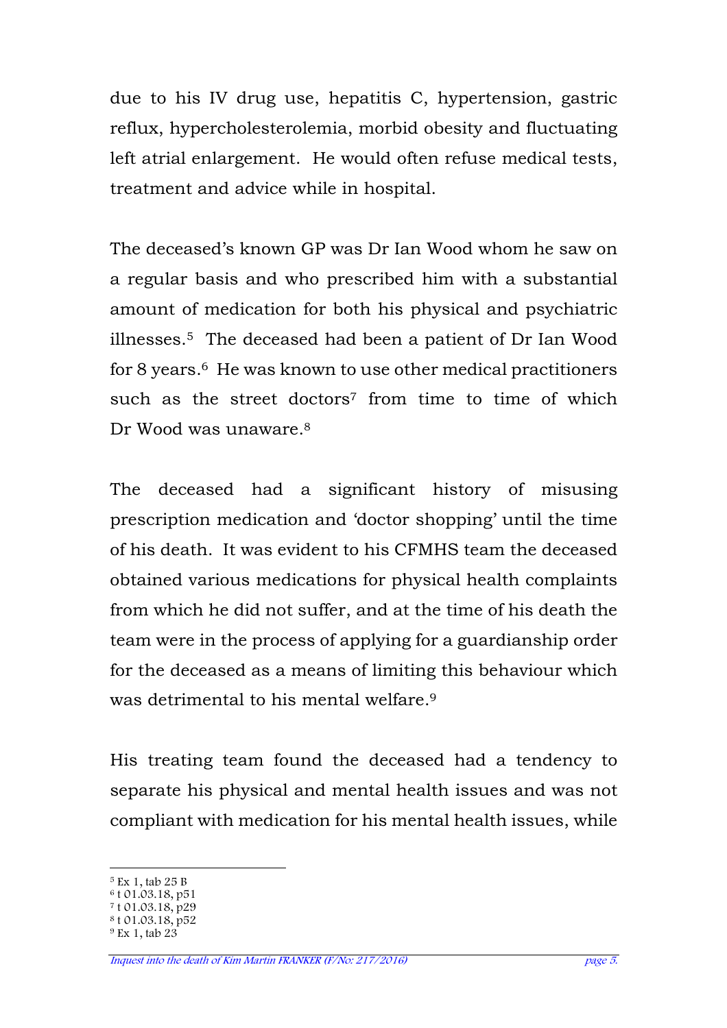due to his IV drug use, hepatitis C, hypertension, gastric reflux, hypercholesterolemia, morbid obesity and fluctuating left atrial enlargement. He would often refuse medical tests, treatment and advice while in hospital.

The deceased's known GP was Dr Ian Wood whom he saw on a regular basis and who prescribed him with a substantial amount of medication for both his physical and psychiatric illnesses.5 The deceased had been a patient of Dr Ian Wood for 8 years.<sup>6</sup> He was known to use other medical practitioners such as the street doctors<sup>7</sup> from time to time of which Dr Wood was unaware 8

The deceased had a significant history of misusing prescription medication and 'doctor shopping' until the time of his death. It was evident to his CFMHS team the deceased obtained various medications for physical health complaints from which he did not suffer, and at the time of his death the team were in the process of applying for a guardianship order for the deceased as a means of limiting this behaviour which was detrimental to his mental welfare<sup>9</sup>

His treating team found the deceased had a tendency to separate his physical and mental health issues and was not compliant with medication for his mental health issues, while

 $\overline{a}$ <sup>5</sup> Ex 1, tab 25 B

<sup>6</sup> t 01.03.18, p51

<sup>&</sup>lt;sup>7</sup> t 01.03.18, p29

<sup>8</sup> t 01.03.18, p52 9 Ex 1, tab 23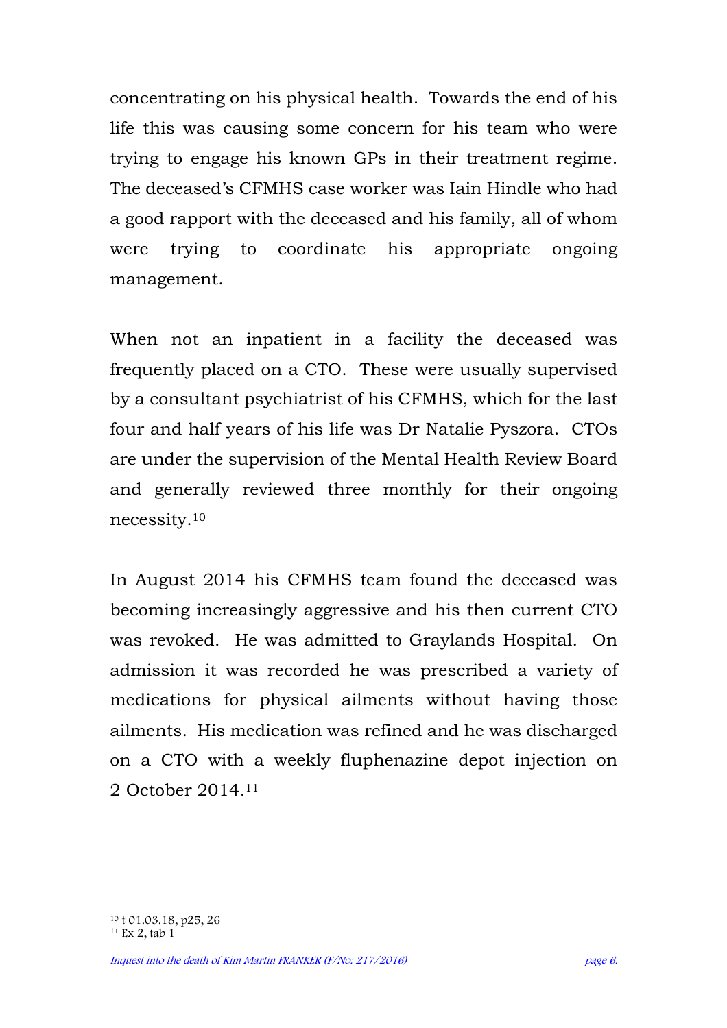concentrating on his physical health. Towards the end of his life this was causing some concern for his team who were trying to engage his known GPs in their treatment regime. The deceased's CFMHS case worker was Iain Hindle who had a good rapport with the deceased and his family, all of whom were trying to coordinate his appropriate ongoing management.

When not an inpatient in a facility the deceased was frequently placed on a CTO. These were usually supervised by a consultant psychiatrist of his CFMHS, which for the last four and half years of his life was Dr Natalie Pyszora. CTOs are under the supervision of the Mental Health Review Board and generally reviewed three monthly for their ongoing necessity.<sup>10</sup>

In August 2014 his CFMHS team found the deceased was becoming increasingly aggressive and his then current CTO was revoked. He was admitted to Graylands Hospital. On admission it was recorded he was prescribed a variety of medications for physical ailments without having those ailments. His medication was refined and he was discharged on a CTO with a weekly fluphenazine depot injection on 2 October 2014.<sup>11</sup>

 $\overline{a}$ <sup>10</sup> t 01.03.18, p25, 26

<sup>11</sup> Ex 2, tab 1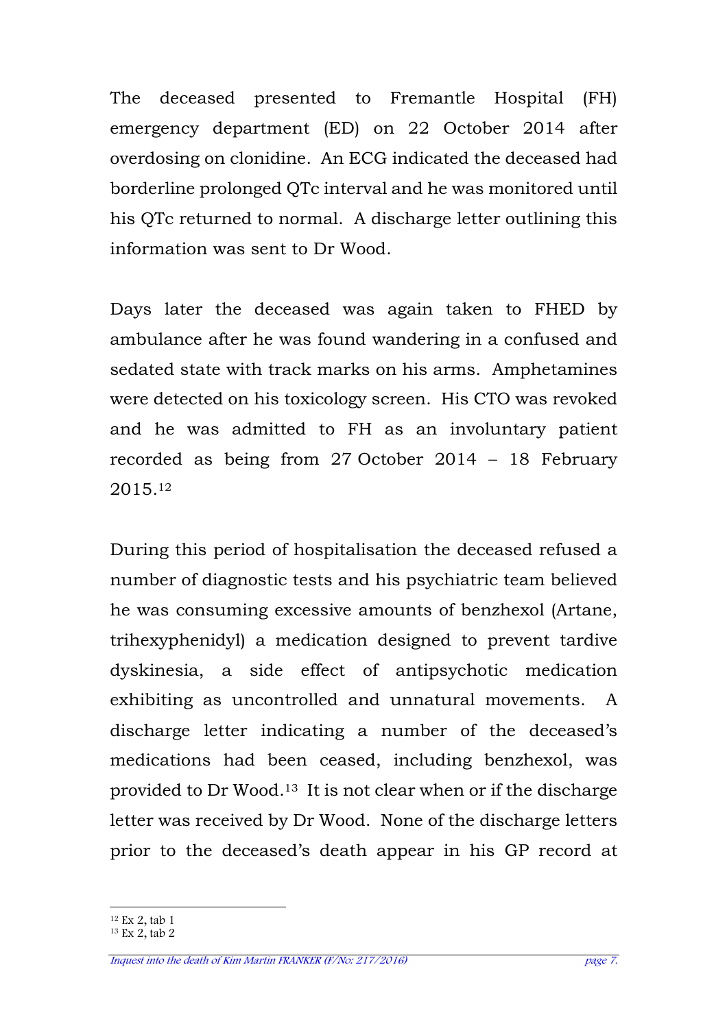The deceased presented to Fremantle Hospital (FH) emergency department (ED) on 22 October 2014 after overdosing on clonidine. An ECG indicated the deceased had borderline prolonged QTc interval and he was monitored until his QTc returned to normal. A discharge letter outlining this information was sent to Dr Wood.

Days later the deceased was again taken to FHED by ambulance after he was found wandering in a confused and sedated state with track marks on his arms. Amphetamines were detected on his toxicology screen. His CTO was revoked and he was admitted to FH as an involuntary patient recorded as being from 27 October 2014 – 18 February 2015.<sup>12</sup>

During this period of hospitalisation the deceased refused a number of diagnostic tests and his psychiatric team believed he was consuming excessive amounts of benzhexol (Artane, trihexyphenidyl) a medication designed to prevent tardive dyskinesia, a side effect of antipsychotic medication exhibiting as uncontrolled and unnatural movements. A discharge letter indicating a number of the deceased's medications had been ceased, including benzhexol, was provided to Dr Wood.13 It is not clear when or if the discharge letter was received by Dr Wood. None of the discharge letters prior to the deceased's death appear in his GP record at

 $\overline{a}$ <sup>12</sup> Ex 2, tab 1

<sup>&</sup>lt;sup>13</sup> Ex 2, tab 2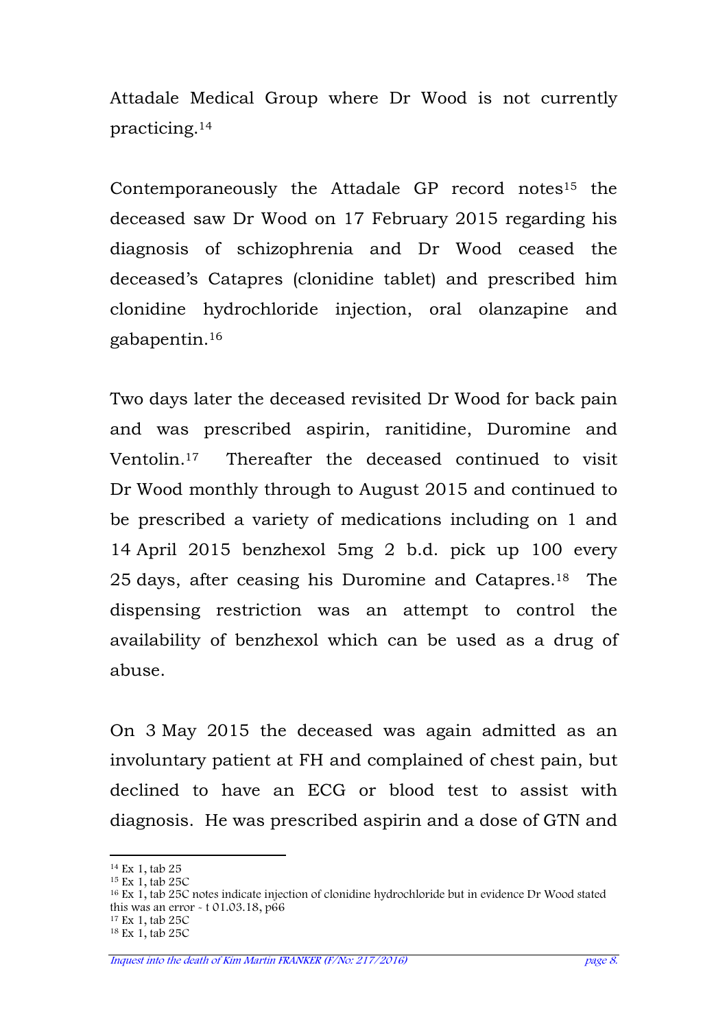Attadale Medical Group where Dr Wood is not currently practicing.<sup>14</sup>

Contemporaneously the Attadale GP record notes<sup>15</sup> the deceased saw Dr Wood on 17 February 2015 regarding his diagnosis of schizophrenia and Dr Wood ceased the deceased's Catapres (clonidine tablet) and prescribed him clonidine hydrochloride injection, oral olanzapine and gabapentin.<sup>16</sup>

Two days later the deceased revisited Dr Wood for back pain and was prescribed aspirin, ranitidine, Duromine and Ventolin.17 Thereafter the deceased continued to visit Dr Wood monthly through to August 2015 and continued to be prescribed a variety of medications including on 1 and 14 April 2015 benzhexol 5mg 2 b.d. pick up 100 every 25 days, after ceasing his Duromine and Catapres.18 The dispensing restriction was an attempt to control the availability of benzhexol which can be used as a drug of abuse.

On 3 May 2015 the deceased was again admitted as an involuntary patient at FH and complained of chest pain, but declined to have an ECG or blood test to assist with diagnosis. He was prescribed aspirin and a dose of GTN and

 $\overline{a}$ 

<sup>14</sup> Ex 1, tab 25 <sup>15</sup> Ex 1, tab 25C

<sup>16</sup> Ex 1, tab 25C notes indicate injection of clonidine hydrochloride but in evidence Dr Wood stated this was an error - t 01.03.18, p66

<sup>17</sup> Ex 1, tab 25C

<sup>18</sup> Ex 1, tab 25C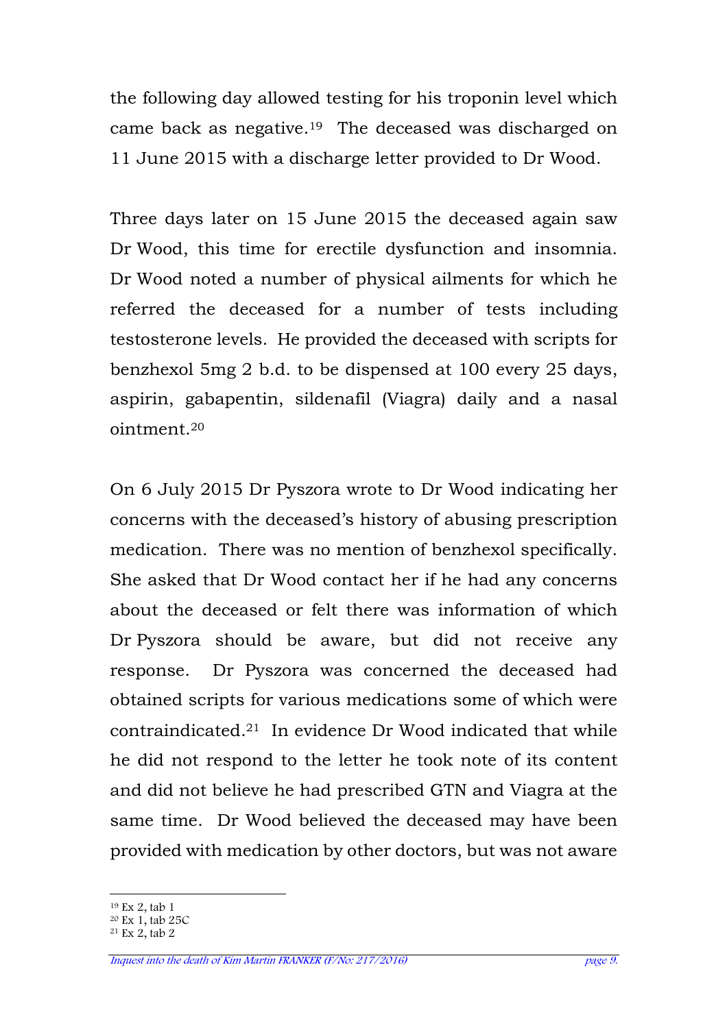the following day allowed testing for his troponin level which came back as negative.19 The deceased was discharged on 11 June 2015 with a discharge letter provided to Dr Wood.

Three days later on 15 June 2015 the deceased again saw Dr Wood, this time for erectile dysfunction and insomnia. Dr Wood noted a number of physical ailments for which he referred the deceased for a number of tests including testosterone levels. He provided the deceased with scripts for benzhexol 5mg 2 b.d. to be dispensed at 100 every 25 days, aspirin, gabapentin, sildenafil (Viagra) daily and a nasal ointment.<sup>20</sup>

On 6 July 2015 Dr Pyszora wrote to Dr Wood indicating her concerns with the deceased's history of abusing prescription medication. There was no mention of benzhexol specifically. She asked that Dr Wood contact her if he had any concerns about the deceased or felt there was information of which Dr Pyszora should be aware, but did not receive any response. Dr Pyszora was concerned the deceased had obtained scripts for various medications some of which were contraindicated.21 In evidence Dr Wood indicated that while he did not respond to the letter he took note of its content and did not believe he had prescribed GTN and Viagra at the same time. Dr Wood believed the deceased may have been provided with medication by other doctors, but was not aware

 $\overline{a}$ <sup>19</sup> Ex 2, tab 1

<sup>20</sup> Ex 1, tab 25C

 $21$  Ex 2, tab 2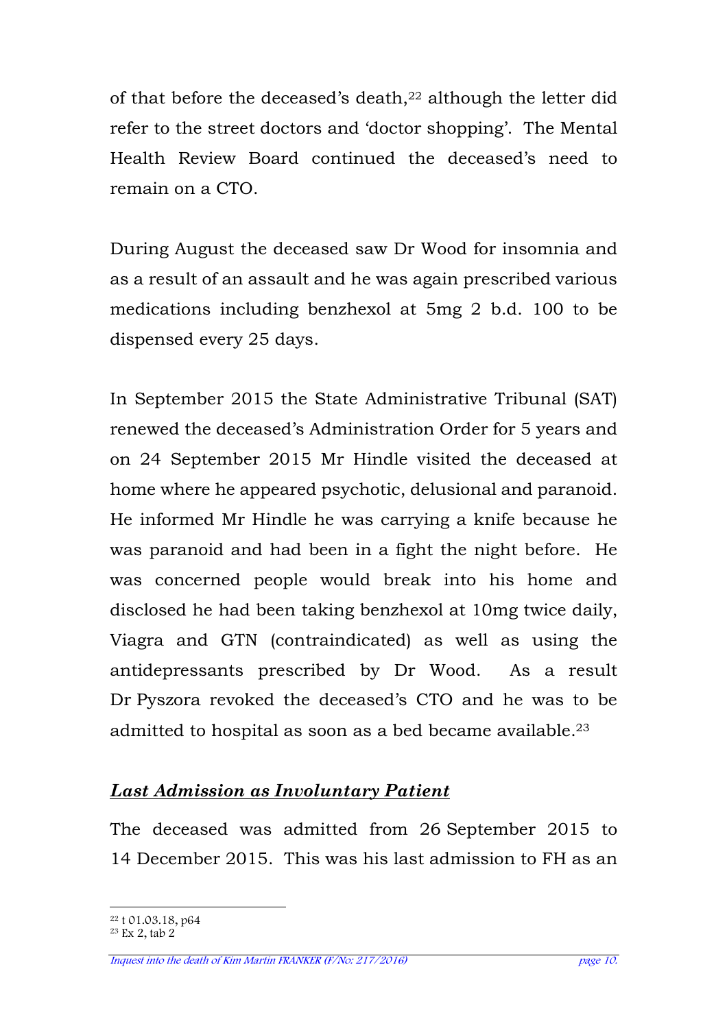of that before the deceased's death,22 although the letter did refer to the street doctors and 'doctor shopping'. The Mental Health Review Board continued the deceased's need to remain on a CTO.

During August the deceased saw Dr Wood for insomnia and as a result of an assault and he was again prescribed various medications including benzhexol at 5mg 2 b.d. 100 to be dispensed every 25 days.

In September 2015 the State Administrative Tribunal (SAT) renewed the deceased's Administration Order for 5 years and on 24 September 2015 Mr Hindle visited the deceased at home where he appeared psychotic, delusional and paranoid. He informed Mr Hindle he was carrying a knife because he was paranoid and had been in a fight the night before. He was concerned people would break into his home and disclosed he had been taking benzhexol at 10mg twice daily, Viagra and GTN (contraindicated) as well as using the antidepressants prescribed by Dr Wood. As a result Dr Pyszora revoked the deceased's CTO and he was to be admitted to hospital as soon as a bed became available.<sup>23</sup>

# *Last Admission as Involuntary Patient*

The deceased was admitted from 26 September 2015 to 14 December 2015. This was his last admission to FH as an

 $\overline{a}$ <sup>22</sup> t 01.03.18, p64

<sup>23</sup> Ex 2, tab 2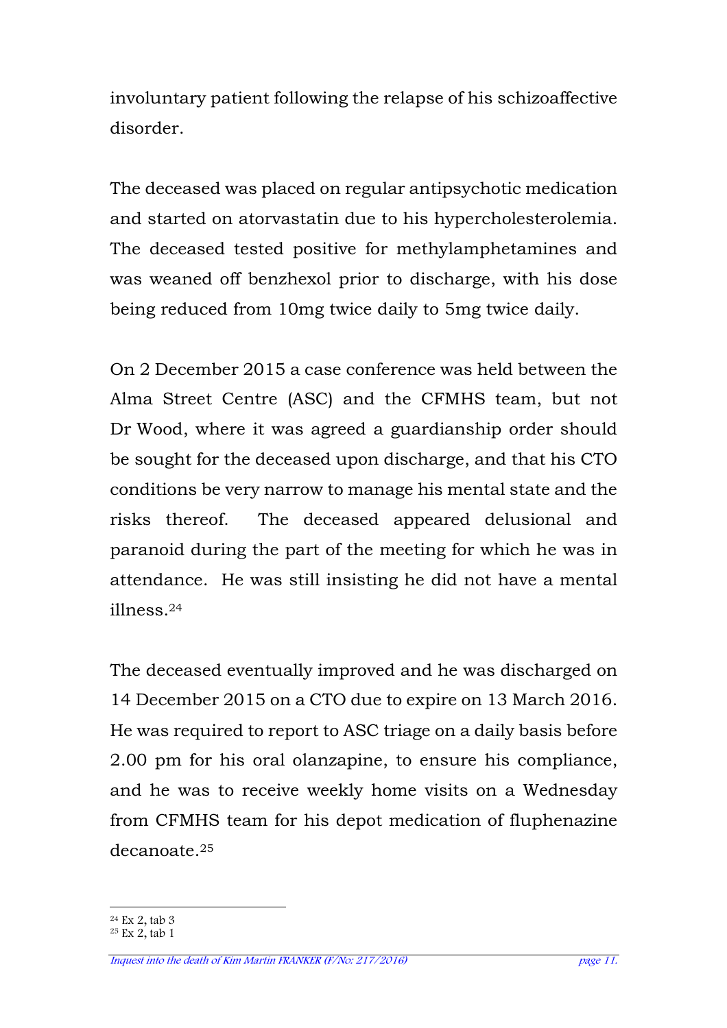involuntary patient following the relapse of his schizoaffective disorder.

The deceased was placed on regular antipsychotic medication and started on atorvastatin due to his hypercholesterolemia. The deceased tested positive for methylamphetamines and was weaned off benzhexol prior to discharge, with his dose being reduced from 10mg twice daily to 5mg twice daily.

On 2 December 2015 a case conference was held between the Alma Street Centre (ASC) and the CFMHS team, but not Dr Wood, where it was agreed a guardianship order should be sought for the deceased upon discharge, and that his CTO conditions be very narrow to manage his mental state and the risks thereof. The deceased appeared delusional and paranoid during the part of the meeting for which he was in attendance. He was still insisting he did not have a mental illness.<sup>24</sup>

The deceased eventually improved and he was discharged on 14 December 2015 on a CTO due to expire on 13 March 2016. He was required to report to ASC triage on a daily basis before 2.00 pm for his oral olanzapine, to ensure his compliance, and he was to receive weekly home visits on a Wednesday from CFMHS team for his depot medication of fluphenazine decanoate.<sup>25</sup>

 $\overline{a}$ <sup>24</sup> Ex 2, tab 3

 $25$  Ex 2, tab 1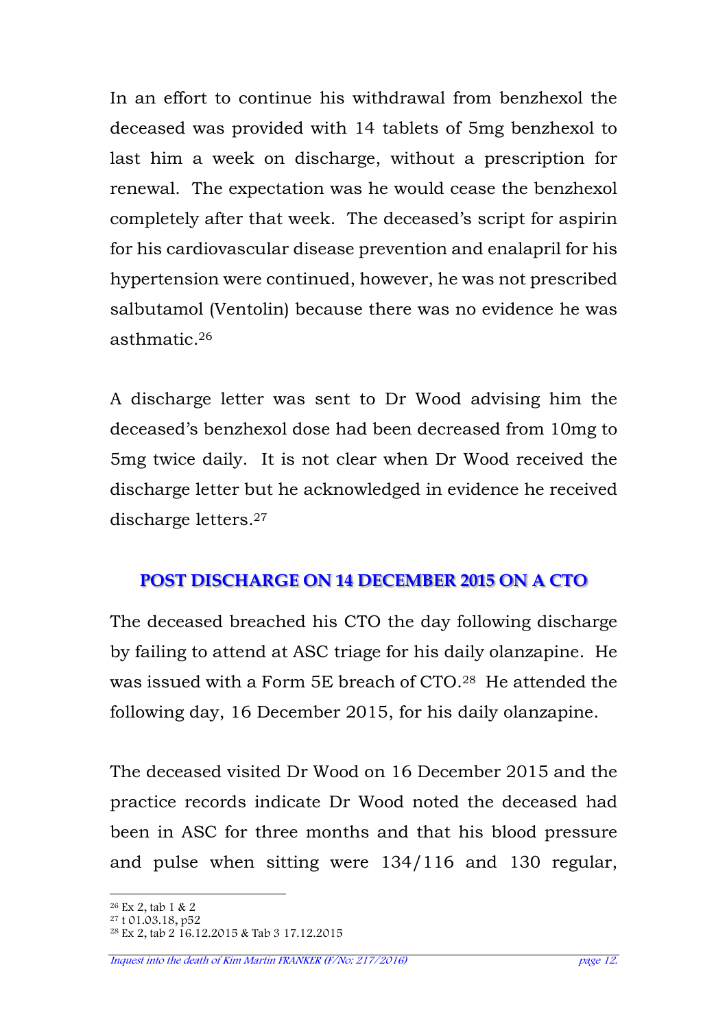In an effort to continue his withdrawal from benzhexol the deceased was provided with 14 tablets of 5mg benzhexol to last him a week on discharge, without a prescription for renewal. The expectation was he would cease the benzhexol completely after that week. The deceased's script for aspirin for his cardiovascular disease prevention and enalapril for his hypertension were continued, however, he was not prescribed salbutamol (Ventolin) because there was no evidence he was asthmatic.<sup>26</sup>

A discharge letter was sent to Dr Wood advising him the deceased's benzhexol dose had been decreased from 10mg to 5mg twice daily. It is not clear when Dr Wood received the discharge letter but he acknowledged in evidence he received discharge letters.<sup>27</sup>

# **POST DISCHARGE ON 14 DECEMBER 2015 ON A CTO**

The deceased breached his CTO the day following discharge by failing to attend at ASC triage for his daily olanzapine. He was issued with a Form 5E breach of CTO.28 He attended the following day, 16 December 2015, for his daily olanzapine.

The deceased visited Dr Wood on 16 December 2015 and the practice records indicate Dr Wood noted the deceased had been in ASC for three months and that his blood pressure and pulse when sitting were 134/116 and 130 regular,

Inquest into the death of Kim Martin FRANKER (F/No: 217/2016) page 12.

 $\overline{a}$ <sup>26</sup> Ex 2, tab 1 & 2

<sup>27</sup> t 01.03.18, p52

<sup>28</sup> Ex 2, tab 2 16.12.2015 & Tab 3 17.12.2015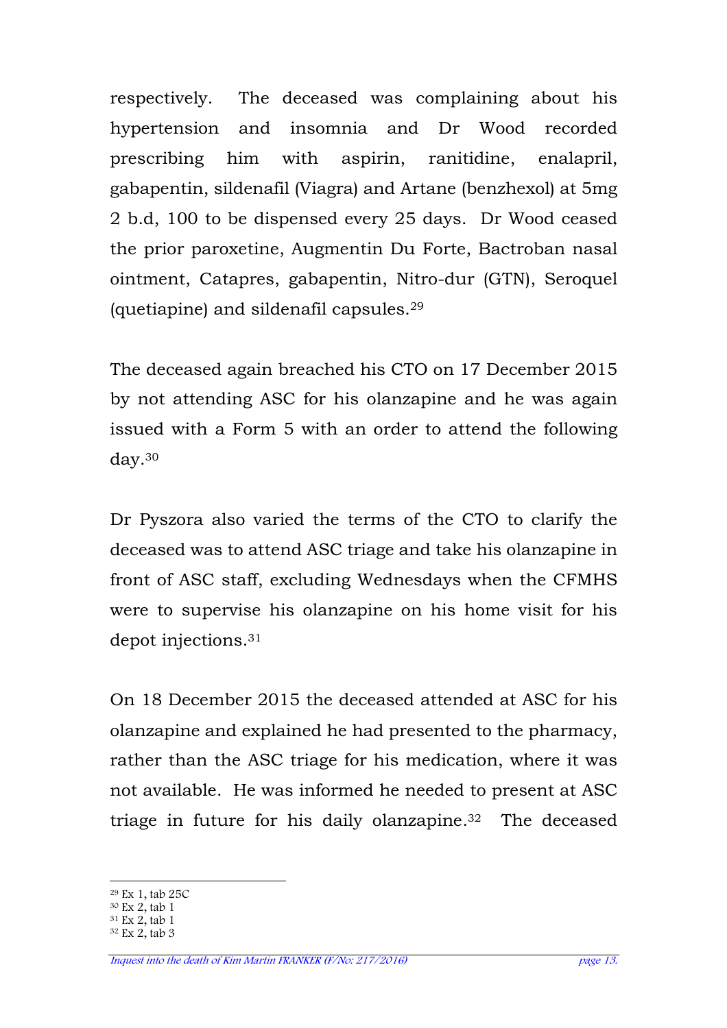respectively. The deceased was complaining about his hypertension and insomnia and Dr Wood recorded prescribing him with aspirin, ranitidine, enalapril, gabapentin, sildenafil (Viagra) and Artane (benzhexol) at 5mg 2 b.d, 100 to be dispensed every 25 days. Dr Wood ceased the prior paroxetine, Augmentin Du Forte, Bactroban nasal ointment, Catapres, gabapentin, Nitro-dur (GTN), Seroquel (quetiapine) and sildenafil capsules.<sup>29</sup>

The deceased again breached his CTO on 17 December 2015 by not attending ASC for his olanzapine and he was again issued with a Form 5 with an order to attend the following day.<sup>30</sup>

Dr Pyszora also varied the terms of the CTO to clarify the deceased was to attend ASC triage and take his olanzapine in front of ASC staff, excluding Wednesdays when the CFMHS were to supervise his olanzapine on his home visit for his depot injections.<sup>31</sup>

On 18 December 2015 the deceased attended at ASC for his olanzapine and explained he had presented to the pharmacy, rather than the ASC triage for his medication, where it was not available. He was informed he needed to present at ASC triage in future for his daily olanzapine.32 The deceased

 $\overline{a}$ <sup>29</sup> Ex 1, tab 25C

<sup>30</sup> Ex 2, tab 1

 $31$  Ex 2, tab 1

<sup>32</sup> Ex 2, tab 3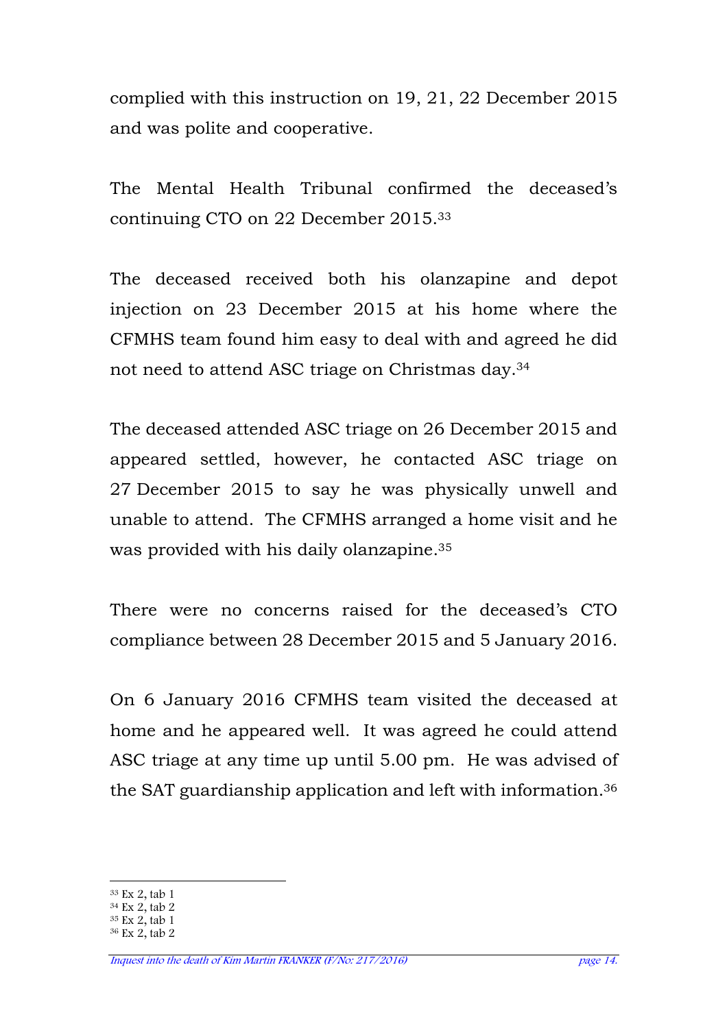complied with this instruction on 19, 21, 22 December 2015 and was polite and cooperative.

The Mental Health Tribunal confirmed the deceased's continuing CTO on 22 December 2015.<sup>33</sup>

The deceased received both his olanzapine and depot injection on 23 December 2015 at his home where the CFMHS team found him easy to deal with and agreed he did not need to attend ASC triage on Christmas day.<sup>34</sup>

The deceased attended ASC triage on 26 December 2015 and appeared settled, however, he contacted ASC triage on 27 December 2015 to say he was physically unwell and unable to attend. The CFMHS arranged a home visit and he was provided with his daily olanzapine.<sup>35</sup>

There were no concerns raised for the deceased's CTO compliance between 28 December 2015 and 5 January 2016.

On 6 January 2016 CFMHS team visited the deceased at home and he appeared well. It was agreed he could attend ASC triage at any time up until 5.00 pm. He was advised of the SAT guardianship application and left with information.<sup>36</sup>

 $\overline{a}$ <sup>33</sup> Ex 2, tab 1

 $34$  Ex 2, tab 2

<sup>35</sup> Ex 2, tab 1

<sup>36</sup> Ex 2, tab 2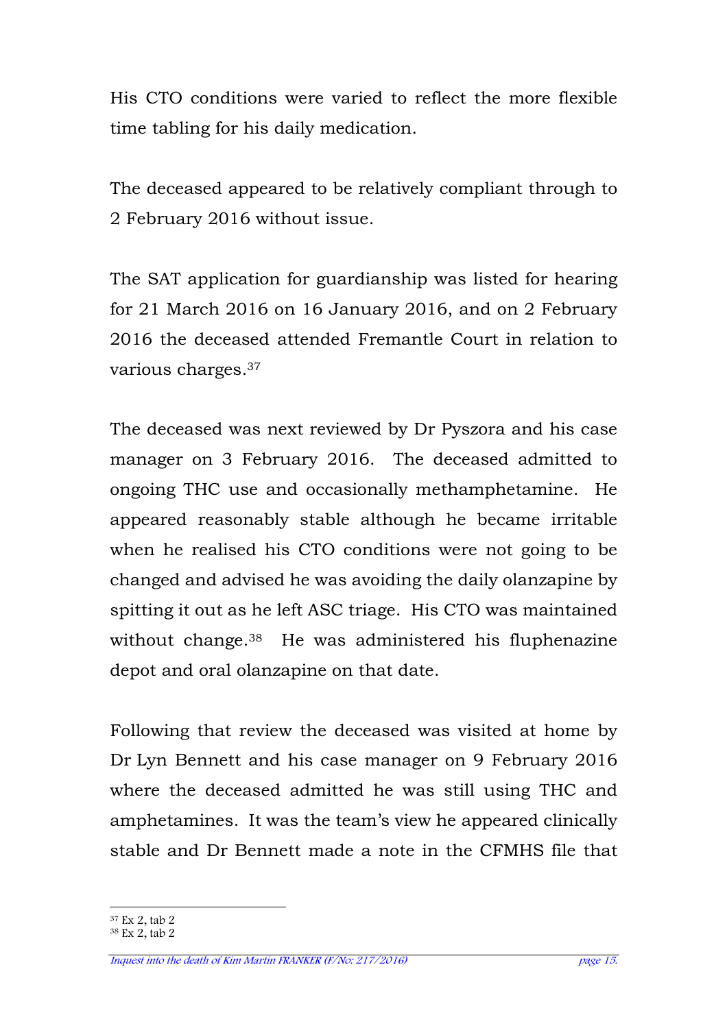His CTO conditions were varied to reflect the more flexible time tabling for his daily medication.

The deceased appeared to be relatively compliant through to 2 February 2016 without issue.

The SAT application for guardianship was listed for hearing for 21 March 2016 on 16 January 2016, and on 2 February 2016 the deceased attended Fremantle Court in relation to various charges.<sup>37</sup>

The deceased was next reviewed by Dr Pyszora and his case manager on 3 February 2016. The deceased admitted to ongoing THC use and occasionally methamphetamine. He appeared reasonably stable although he became irritable when he realised his CTO conditions were not going to be changed and advised he was avoiding the daily olanzapine by spitting it out as he left ASC triage. His CTO was maintained without change.<sup>38</sup> He was administered his fluphenazine depot and oral olanzapine on that date.

Following that review the deceased was visited at home by Dr Lyn Bennett and his case manager on 9 February 2016 where the deceased admitted he was still using THC and amphetamines. It was the team's view he appeared clinically stable and Dr Bennett made a note in the CFMHS file that

 $\overline{a}$ <sup>37</sup> Ex 2, tab 2

<sup>38</sup> Ex 2, tab 2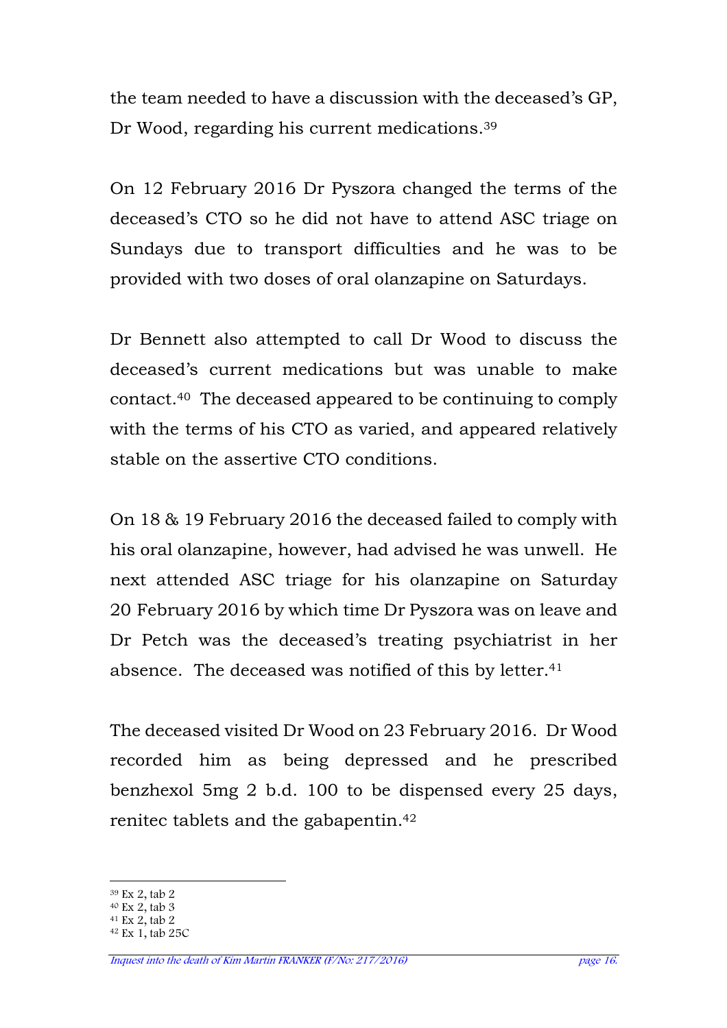the team needed to have a discussion with the deceased's GP, Dr Wood, regarding his current medications.<sup>39</sup>

On 12 February 2016 Dr Pyszora changed the terms of the deceased's CTO so he did not have to attend ASC triage on Sundays due to transport difficulties and he was to be provided with two doses of oral olanzapine on Saturdays.

Dr Bennett also attempted to call Dr Wood to discuss the deceased's current medications but was unable to make contact.40 The deceased appeared to be continuing to comply with the terms of his CTO as varied, and appeared relatively stable on the assertive CTO conditions.

On 18 & 19 February 2016 the deceased failed to comply with his oral olanzapine, however, had advised he was unwell. He next attended ASC triage for his olanzapine on Saturday 20 February 2016 by which time Dr Pyszora was on leave and Dr Petch was the deceased's treating psychiatrist in her absence. The deceased was notified of this by letter.<sup>41</sup>

The deceased visited Dr Wood on 23 February 2016. Dr Wood recorded him as being depressed and he prescribed benzhexol 5mg 2 b.d. 100 to be dispensed every 25 days, renitec tablets and the gabapentin.<sup>42</sup>

 $\overline{a}$ 

<sup>39</sup> Ex 2, tab 2

 $40$  Ex 2, tab 3

 $41$  Ex 2, tab 2

<sup>42</sup> Ex 1, tab 25C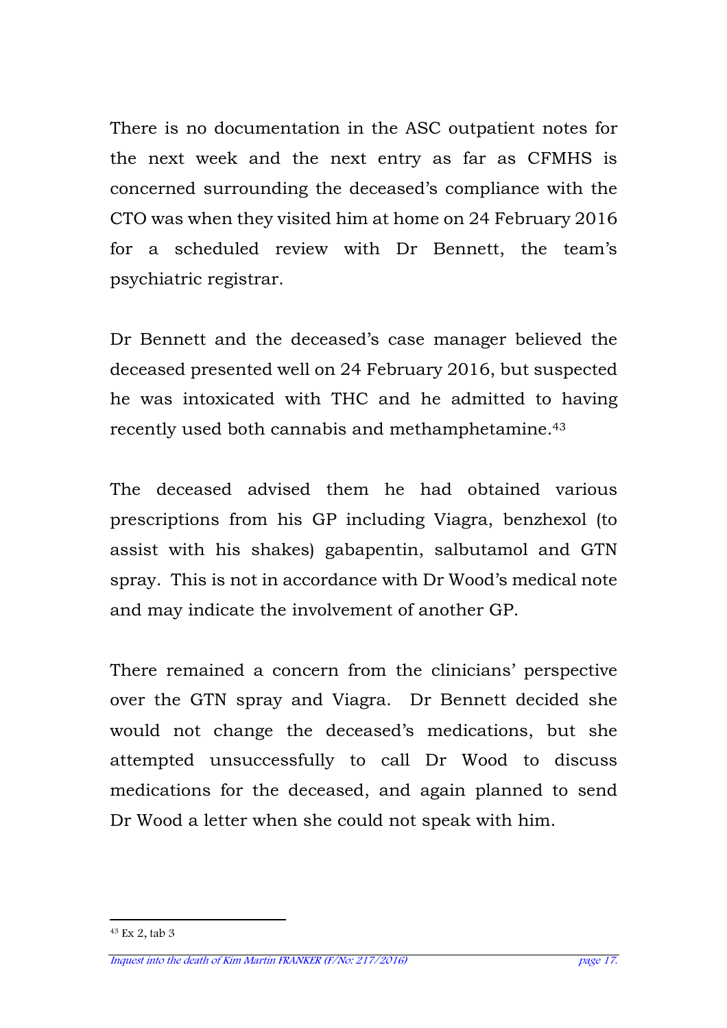There is no documentation in the ASC outpatient notes for the next week and the next entry as far as CFMHS is concerned surrounding the deceased's compliance with the CTO was when they visited him at home on 24 February 2016 for a scheduled review with Dr Bennett, the team's psychiatric registrar.

Dr Bennett and the deceased's case manager believed the deceased presented well on 24 February 2016, but suspected he was intoxicated with THC and he admitted to having recently used both cannabis and methamphetamine.<sup>43</sup>

The deceased advised them he had obtained various prescriptions from his GP including Viagra, benzhexol (to assist with his shakes) gabapentin, salbutamol and GTN spray. This is not in accordance with Dr Wood's medical note and may indicate the involvement of another GP.

There remained a concern from the clinicians' perspective over the GTN spray and Viagra. Dr Bennett decided she would not change the deceased's medications, but she attempted unsuccessfully to call Dr Wood to discuss medications for the deceased, and again planned to send Dr Wood a letter when she could not speak with him.

l

<sup>43</sup> Ex 2, tab 3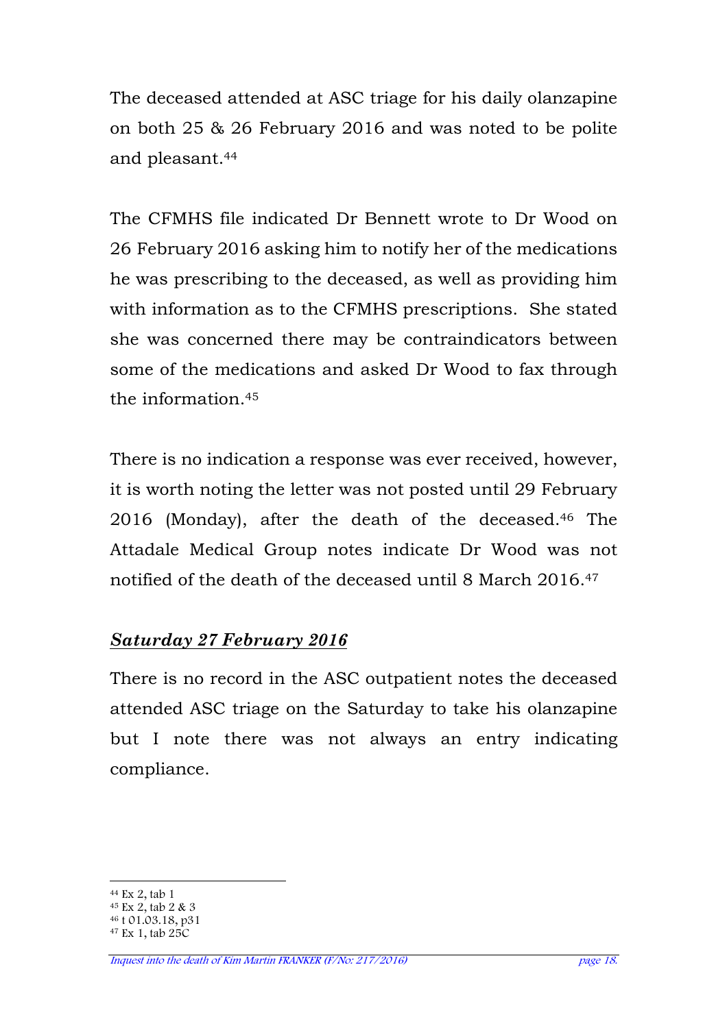The deceased attended at ASC triage for his daily olanzapine on both 25 & 26 February 2016 and was noted to be polite and pleasant.<sup>44</sup>

The CFMHS file indicated Dr Bennett wrote to Dr Wood on 26 February 2016 asking him to notify her of the medications he was prescribing to the deceased, as well as providing him with information as to the CFMHS prescriptions. She stated she was concerned there may be contraindicators between some of the medications and asked Dr Wood to fax through the information  $45$ 

There is no indication a response was ever received, however, it is worth noting the letter was not posted until 29 February 2016 (Monday), after the death of the deceased.46 The Attadale Medical Group notes indicate Dr Wood was not notified of the death of the deceased until 8 March 2016.<sup>47</sup>

### *Saturday 27 February 2016*

There is no record in the ASC outpatient notes the deceased attended ASC triage on the Saturday to take his olanzapine but I note there was not always an entry indicating compliance.

 $\overline{a}$ <sup>44</sup> Ex 2, tab 1

<sup>45</sup> Ex 2, tab 2 & 3

<sup>46</sup> t 01.03.18, p31

 $47$  Ex 1, tab  $25C$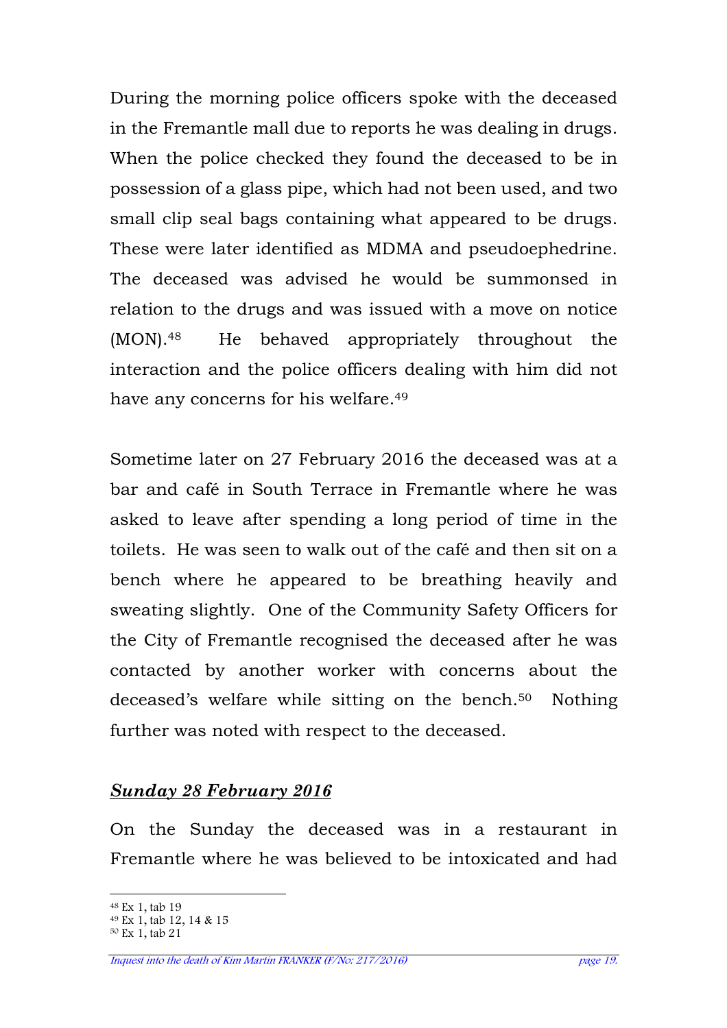During the morning police officers spoke with the deceased in the Fremantle mall due to reports he was dealing in drugs. When the police checked they found the deceased to be in possession of a glass pipe, which had not been used, and two small clip seal bags containing what appeared to be drugs. These were later identified as MDMA and pseudoephedrine. The deceased was advised he would be summonsed in relation to the drugs and was issued with a move on notice (MON).48 He behaved appropriately throughout the interaction and the police officers dealing with him did not have any concerns for his welfare.<sup>49</sup>

Sometime later on 27 February 2016 the deceased was at a bar and café in South Terrace in Fremantle where he was asked to leave after spending a long period of time in the toilets. He was seen to walk out of the café and then sit on a bench where he appeared to be breathing heavily and sweating slightly. One of the Community Safety Officers for the City of Fremantle recognised the deceased after he was contacted by another worker with concerns about the deceased's welfare while sitting on the bench.<sup>50</sup> Nothing further was noted with respect to the deceased.

#### *Sunday 28 February 2016*

On the Sunday the deceased was in a restaurant in Fremantle where he was believed to be intoxicated and had

 $\overline{a}$ <sup>48</sup> Ex 1, tab 19

<sup>49</sup> Ex 1, tab 12, 14 & 15

<sup>50</sup> Ex 1, tab 21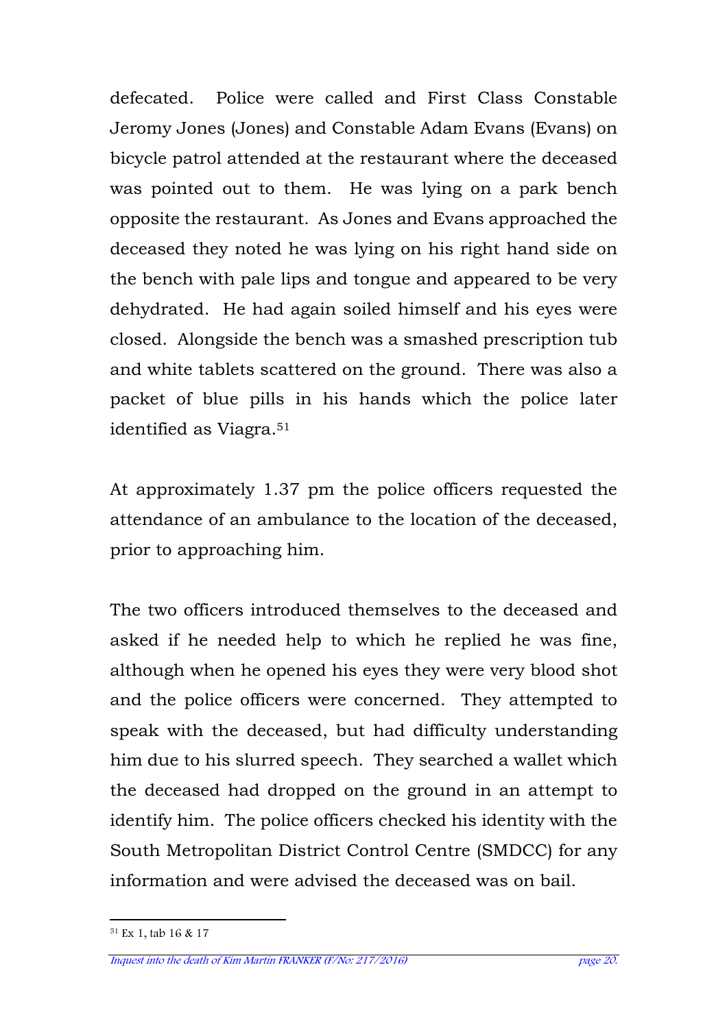defecated. Police were called and First Class Constable Jeromy Jones (Jones) and Constable Adam Evans (Evans) on bicycle patrol attended at the restaurant where the deceased was pointed out to them. He was lying on a park bench opposite the restaurant. As Jones and Evans approached the deceased they noted he was lying on his right hand side on the bench with pale lips and tongue and appeared to be very dehydrated. He had again soiled himself and his eyes were closed. Alongside the bench was a smashed prescription tub and white tablets scattered on the ground. There was also a packet of blue pills in his hands which the police later identified as Viagra.<sup>51</sup>

At approximately 1.37 pm the police officers requested the attendance of an ambulance to the location of the deceased, prior to approaching him.

The two officers introduced themselves to the deceased and asked if he needed help to which he replied he was fine, although when he opened his eyes they were very blood shot and the police officers were concerned. They attempted to speak with the deceased, but had difficulty understanding him due to his slurred speech. They searched a wallet which the deceased had dropped on the ground in an attempt to identify him. The police officers checked his identity with the South Metropolitan District Control Centre (SMDCC) for any information and were advised the deceased was on bail.

l 51 Ex 1, tab 16 & 17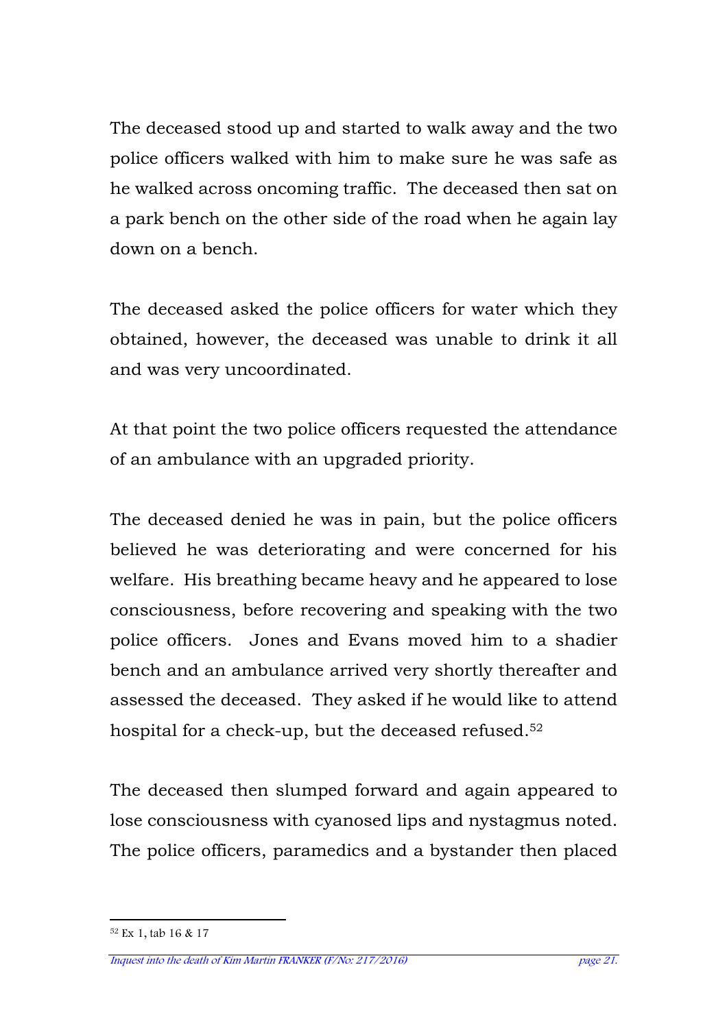The deceased stood up and started to walk away and the two police officers walked with him to make sure he was safe as he walked across oncoming traffic. The deceased then sat on a park bench on the other side of the road when he again lay down on a bench.

The deceased asked the police officers for water which they obtained, however, the deceased was unable to drink it all and was very uncoordinated.

At that point the two police officers requested the attendance of an ambulance with an upgraded priority.

The deceased denied he was in pain, but the police officers believed he was deteriorating and were concerned for his welfare. His breathing became heavy and he appeared to lose consciousness, before recovering and speaking with the two police officers. Jones and Evans moved him to a shadier bench and an ambulance arrived very shortly thereafter and assessed the deceased. They asked if he would like to attend hospital for a check-up, but the deceased refused.<sup>52</sup>

The deceased then slumped forward and again appeared to lose consciousness with cyanosed lips and nystagmus noted. The police officers, paramedics and a bystander then placed

l 52 Ex 1, tab 16 & 17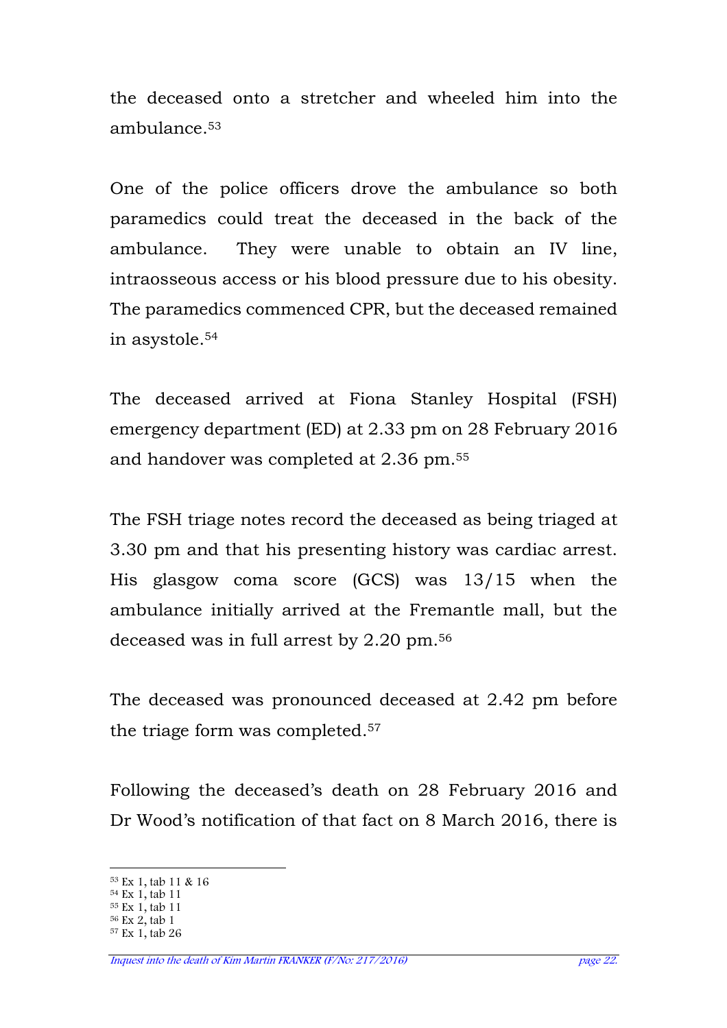the deceased onto a stretcher and wheeled him into the ambulance.<sup>53</sup>

One of the police officers drove the ambulance so both paramedics could treat the deceased in the back of the ambulance. They were unable to obtain an IV line, intraosseous access or his blood pressure due to his obesity. The paramedics commenced CPR, but the deceased remained in asystole.<sup>54</sup>

The deceased arrived at Fiona Stanley Hospital (FSH) emergency department (ED) at 2.33 pm on 28 February 2016 and handover was completed at 2.36 pm.<sup>55</sup>

The FSH triage notes record the deceased as being triaged at 3.30 pm and that his presenting history was cardiac arrest. His glasgow coma score (GCS) was 13/15 when the ambulance initially arrived at the Fremantle mall, but the deceased was in full arrest by 2.20 pm.<sup>56</sup>

The deceased was pronounced deceased at 2.42 pm before the triage form was completed.<sup>57</sup>

Following the deceased's death on 28 February 2016 and Dr Wood's notification of that fact on 8 March 2016, there is

<sup>55</sup> Ex 1, tab 11

 $\overline{a}$ <sup>53</sup> Ex 1, tab 11 & 16

<sup>54</sup> Ex 1, tab 11

<sup>56</sup> Ex 2, tab 1

<sup>57</sup> Ex 1, tab 26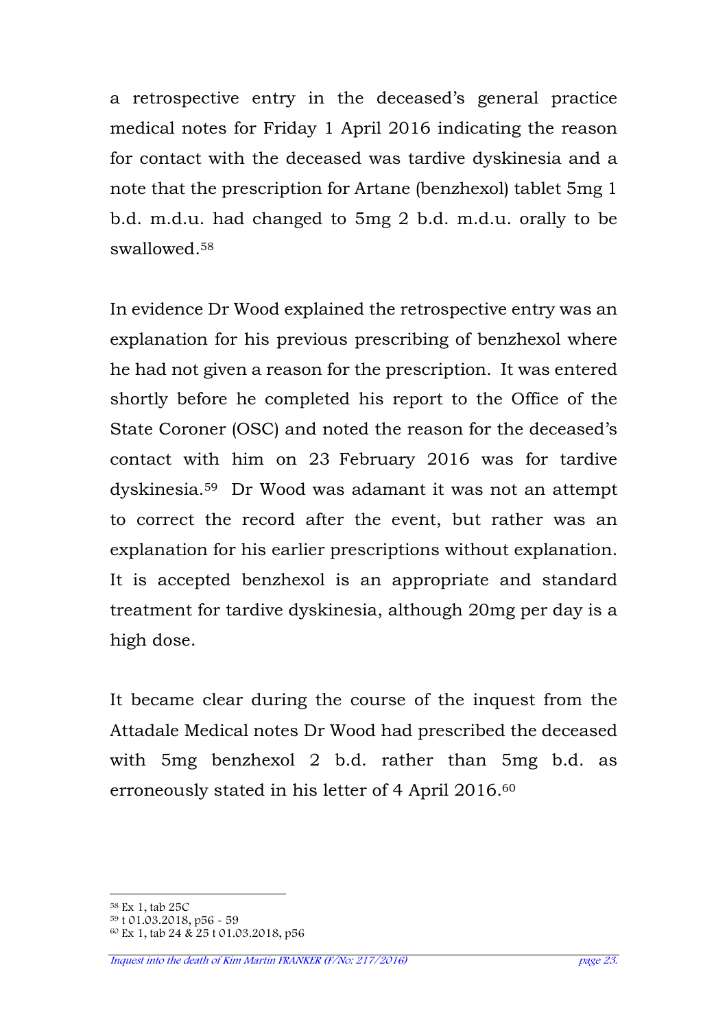a retrospective entry in the deceased's general practice medical notes for Friday 1 April 2016 indicating the reason for contact with the deceased was tardive dyskinesia and a note that the prescription for Artane (benzhexol) tablet 5mg 1 b.d. m.d.u. had changed to 5mg 2 b.d. m.d.u. orally to be swallowed.<sup>58</sup>

In evidence Dr Wood explained the retrospective entry was an explanation for his previous prescribing of benzhexol where he had not given a reason for the prescription. It was entered shortly before he completed his report to the Office of the State Coroner (OSC) and noted the reason for the deceased's contact with him on 23 February 2016 was for tardive dyskinesia.59 Dr Wood was adamant it was not an attempt to correct the record after the event, but rather was an explanation for his earlier prescriptions without explanation. It is accepted benzhexol is an appropriate and standard treatment for tardive dyskinesia, although 20mg per day is a high dose.

It became clear during the course of the inquest from the Attadale Medical notes Dr Wood had prescribed the deceased with 5mg benzhexol 2 b.d. rather than 5mg b.d. as erroneously stated in his letter of 4 April 2016.<sup>60</sup>

 $\overline{a}$ <sup>58</sup> Ex 1, tab 25C

<sup>59</sup> t 01.03.2018, p56 - 59

<sup>60</sup> Ex 1, tab 24 & 25 t 01.03.2018, p56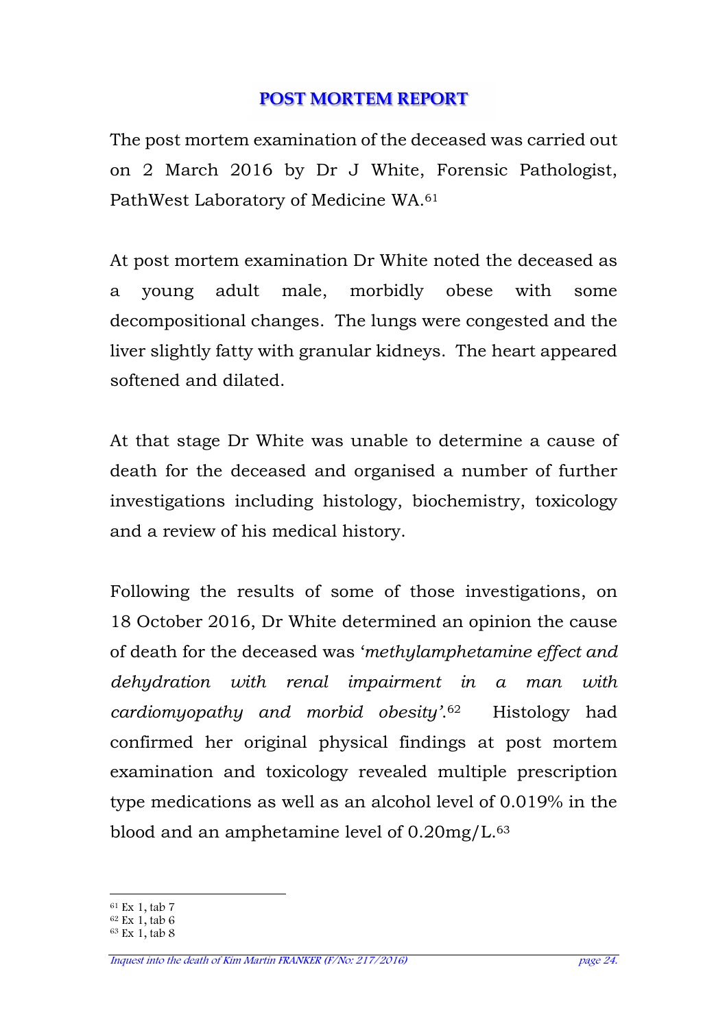#### **POST MORTEM REPORT**

The post mortem examination of the deceased was carried out on 2 March 2016 by Dr J White, Forensic Pathologist, PathWest Laboratory of Medicine WA.<sup>61</sup>

At post mortem examination Dr White noted the deceased as a young adult male, morbidly obese with some decompositional changes. The lungs were congested and the liver slightly fatty with granular kidneys. The heart appeared softened and dilated.

At that stage Dr White was unable to determine a cause of death for the deceased and organised a number of further investigations including histology, biochemistry, toxicology and a review of his medical history.

Following the results of some of those investigations, on 18 October 2016, Dr White determined an opinion the cause of death for the deceased was '*methylamphetamine effect and dehydration with renal impairment in a man with cardiomyopathy and morbid obesity'*. Histology had confirmed her original physical findings at post mortem examination and toxicology revealed multiple prescription type medications as well as an alcohol level of 0.019% in the blood and an amphetamine level of 0.20mg/L.<sup>63</sup>

 $\overline{a}$ <sup>61</sup> Ex 1, tab 7

<sup>62</sup> Ex 1, tab 6

<sup>63</sup> Ex 1, tab 8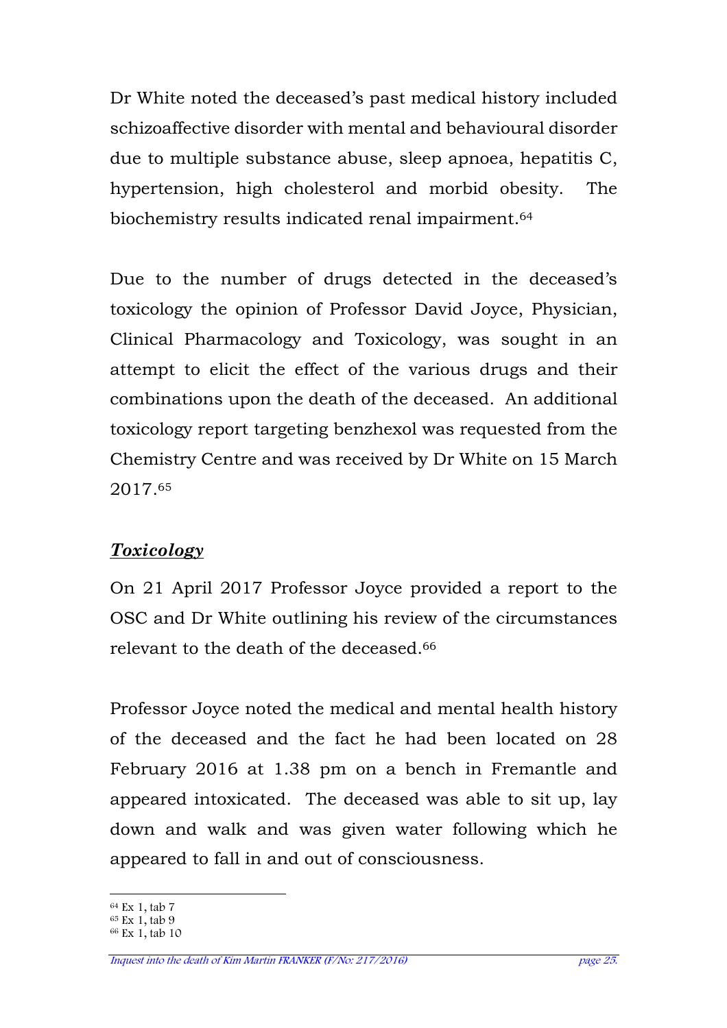Dr White noted the deceased's past medical history included schizoaffective disorder with mental and behavioural disorder due to multiple substance abuse, sleep apnoea, hepatitis C, hypertension, high cholesterol and morbid obesity. The biochemistry results indicated renal impairment.<sup>64</sup>

Due to the number of drugs detected in the deceased's toxicology the opinion of Professor David Joyce, Physician, Clinical Pharmacology and Toxicology, was sought in an attempt to elicit the effect of the various drugs and their combinations upon the death of the deceased. An additional toxicology report targeting benzhexol was requested from the Chemistry Centre and was received by Dr White on 15 March 2017.<sup>65</sup>

### *Toxicology*

On 21 April 2017 Professor Joyce provided a report to the OSC and Dr White outlining his review of the circumstances relevant to the death of the deceased.<sup>66</sup>

Professor Joyce noted the medical and mental health history of the deceased and the fact he had been located on 28 February 2016 at 1.38 pm on a bench in Fremantle and appeared intoxicated. The deceased was able to sit up, lay down and walk and was given water following which he appeared to fall in and out of consciousness.

 $\overline{a}$ <sup>64</sup> Ex 1, tab 7

<sup>65</sup> Ex 1, tab 9

<sup>66</sup> Ex 1, tab 10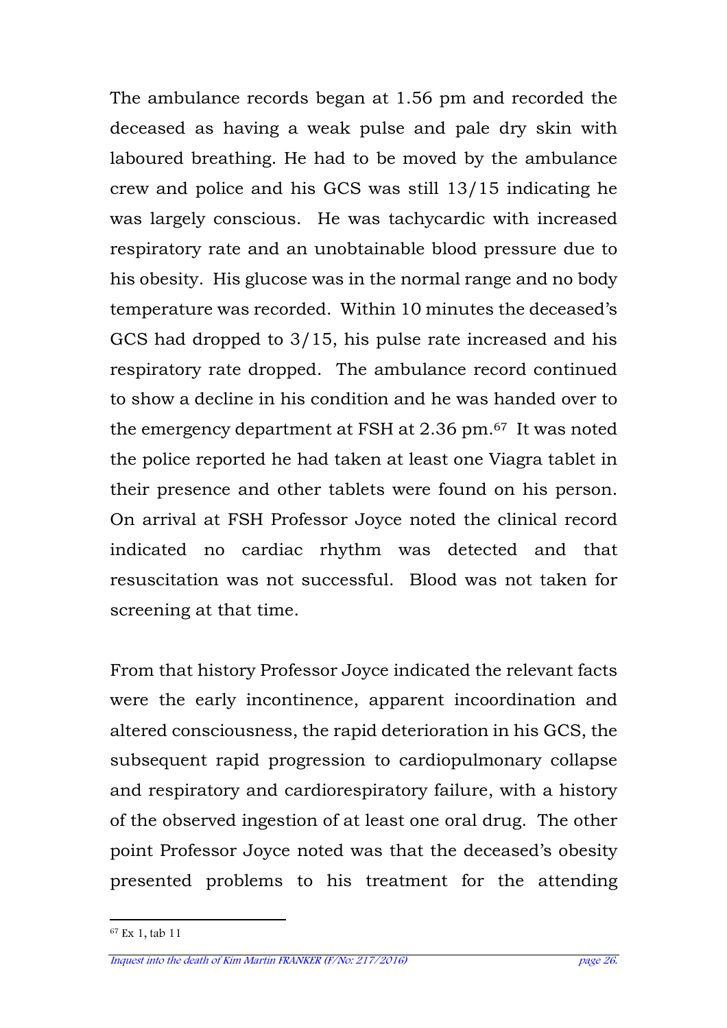The ambulance records began at 1.56 pm and recorded the deceased as having a weak pulse and pale dry skin with laboured breathing. He had to be moved by the ambulance crew and police and his GCS was still 13/15 indicating he was largely conscious. He was tachycardic with increased respiratory rate and an unobtainable blood pressure due to his obesity. His glucose was in the normal range and no body temperature was recorded. Within 10 minutes the deceased's GCS had dropped to 3/15, his pulse rate increased and his respiratory rate dropped. The ambulance record continued to show a decline in his condition and he was handed over to the emergency department at FSH at 2.36 pm.67 It was noted the police reported he had taken at least one Viagra tablet in their presence and other tablets were found on his person. On arrival at FSH Professor Joyce noted the clinical record indicated no cardiac rhythm was detected and that resuscitation was not successful. Blood was not taken for screening at that time.

From that history Professor Joyce indicated the relevant facts were the early incontinence, apparent incoordination and altered consciousness, the rapid deterioration in his GCS, the subsequent rapid progression to cardiopulmonary collapse and respiratory and cardiorespiratory failure, with a history of the observed ingestion of at least one oral drug. The other point Professor Joyce noted was that the deceased's obesity presented problems to his treatment for the attending

l 67 Ex 1, tab 11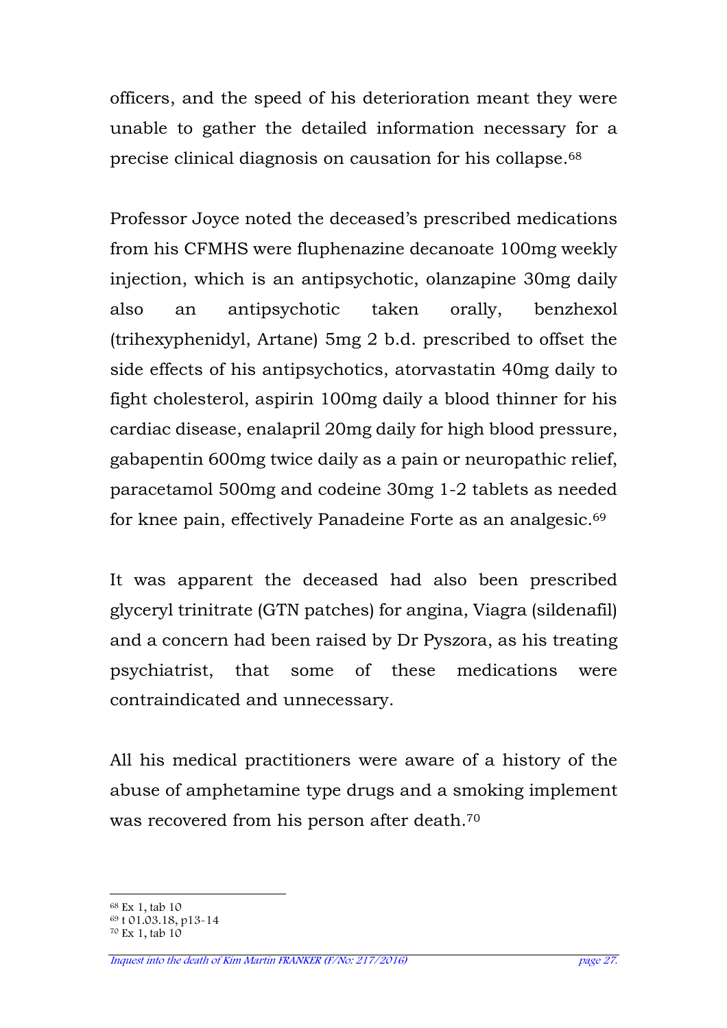officers, and the speed of his deterioration meant they were unable to gather the detailed information necessary for a precise clinical diagnosis on causation for his collapse.<sup>68</sup>

Professor Joyce noted the deceased's prescribed medications from his CFMHS were fluphenazine decanoate 100mg weekly injection, which is an antipsychotic, olanzapine 30mg daily also an antipsychotic taken orally, benzhexol (trihexyphenidyl, Artane) 5mg 2 b.d. prescribed to offset the side effects of his antipsychotics, atorvastatin 40mg daily to fight cholesterol, aspirin 100mg daily a blood thinner for his cardiac disease, enalapril 20mg daily for high blood pressure, gabapentin 600mg twice daily as a pain or neuropathic relief, paracetamol 500mg and codeine 30mg 1-2 tablets as needed for knee pain, effectively Panadeine Forte as an analgesic.<sup>69</sup>

It was apparent the deceased had also been prescribed glyceryl trinitrate (GTN patches) for angina, Viagra (sildenafil) and a concern had been raised by Dr Pyszora, as his treating psychiatrist, that some of these medications were contraindicated and unnecessary.

All his medical practitioners were aware of a history of the abuse of amphetamine type drugs and a smoking implement was recovered from his person after death.<sup>70</sup>

 $\overline{a}$ <sup>68</sup> Ex 1, tab 10

<sup>69</sup> t 01.03.18, p13-14

<sup>70</sup> Ex 1, tab 10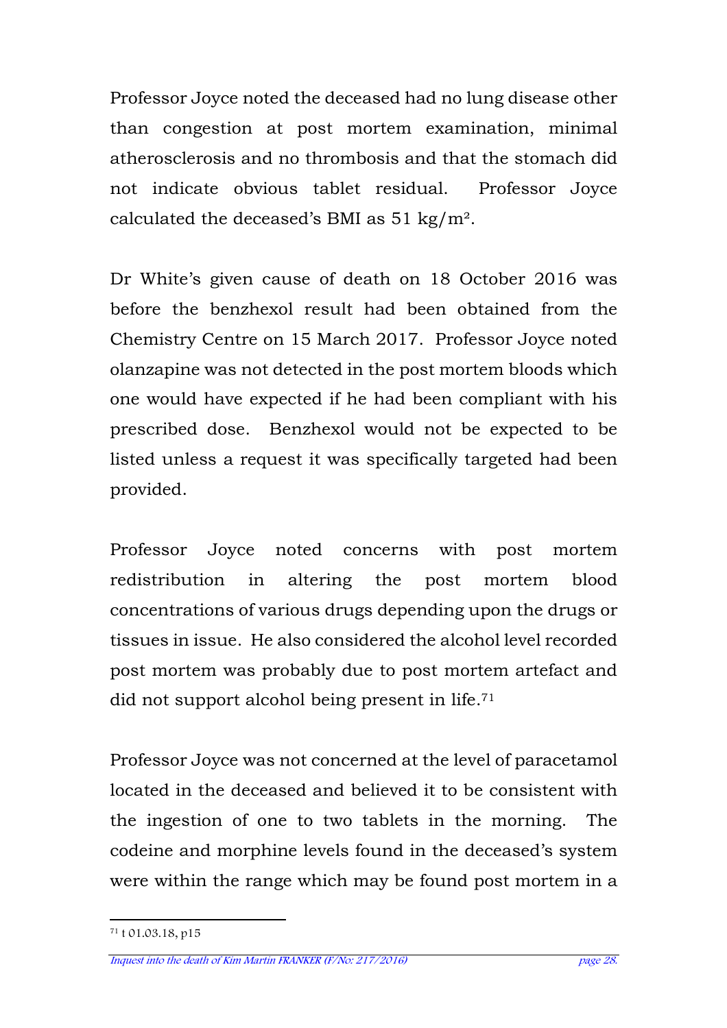Professor Joyce noted the deceased had no lung disease other than congestion at post mortem examination, minimal atherosclerosis and no thrombosis and that the stomach did not indicate obvious tablet residual. Professor Joyce calculated the deceased's BMI as 51 kg/m².

Dr White's given cause of death on 18 October 2016 was before the benzhexol result had been obtained from the Chemistry Centre on 15 March 2017. Professor Joyce noted olanzapine was not detected in the post mortem bloods which one would have expected if he had been compliant with his prescribed dose. Benzhexol would not be expected to be listed unless a request it was specifically targeted had been provided.

Professor Joyce noted concerns with post mortem redistribution in altering the post mortem blood concentrations of various drugs depending upon the drugs or tissues in issue. He also considered the alcohol level recorded post mortem was probably due to post mortem artefact and did not support alcohol being present in life.<sup>71</sup>

Professor Joyce was not concerned at the level of paracetamol located in the deceased and believed it to be consistent with the ingestion of one to two tablets in the morning. The codeine and morphine levels found in the deceased's system were within the range which may be found post mortem in a

l 71 t 01.03.18, p15

Inquest into the death of Kim Martin FRANKER (F/No: 217/2016) page 28.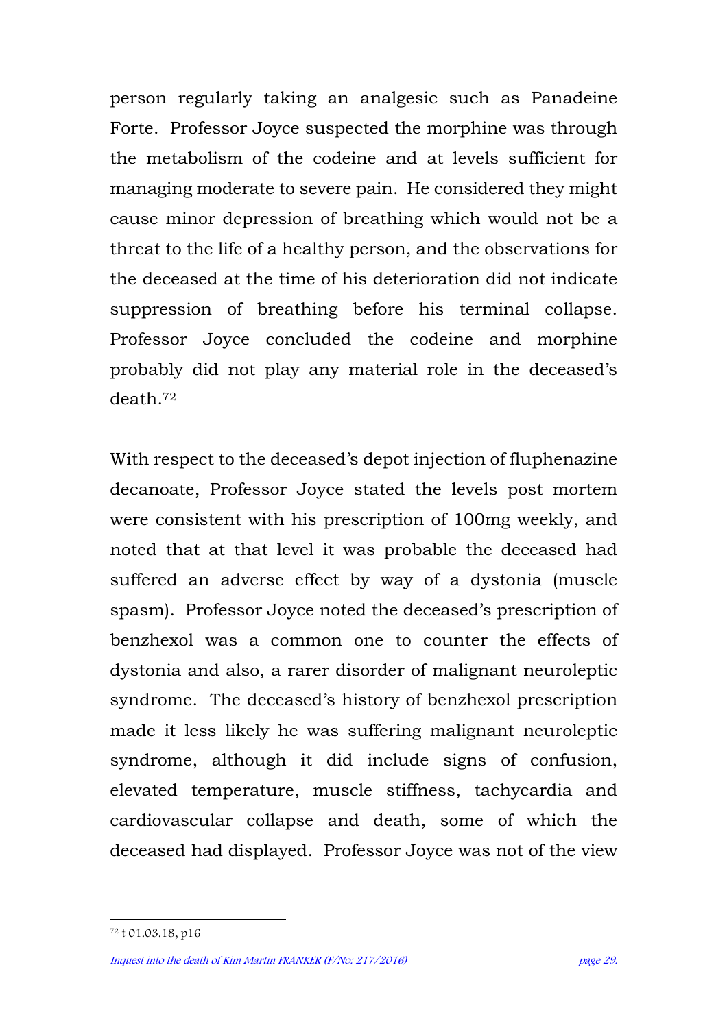person regularly taking an analgesic such as Panadeine Forte. Professor Joyce suspected the morphine was through the metabolism of the codeine and at levels sufficient for managing moderate to severe pain. He considered they might cause minor depression of breathing which would not be a threat to the life of a healthy person, and the observations for the deceased at the time of his deterioration did not indicate suppression of breathing before his terminal collapse. Professor Joyce concluded the codeine and morphine probably did not play any material role in the deceased's death.<sup>72</sup>

With respect to the deceased's depot injection of fluphenazine decanoate, Professor Joyce stated the levels post mortem were consistent with his prescription of 100mg weekly, and noted that at that level it was probable the deceased had suffered an adverse effect by way of a dystonia (muscle spasm). Professor Joyce noted the deceased's prescription of benzhexol was a common one to counter the effects of dystonia and also, a rarer disorder of malignant neuroleptic syndrome. The deceased's history of benzhexol prescription made it less likely he was suffering malignant neuroleptic syndrome, although it did include signs of confusion, elevated temperature, muscle stiffness, tachycardia and cardiovascular collapse and death, some of which the deceased had displayed. Professor Joyce was not of the view

l 72 t 01.03.18, p16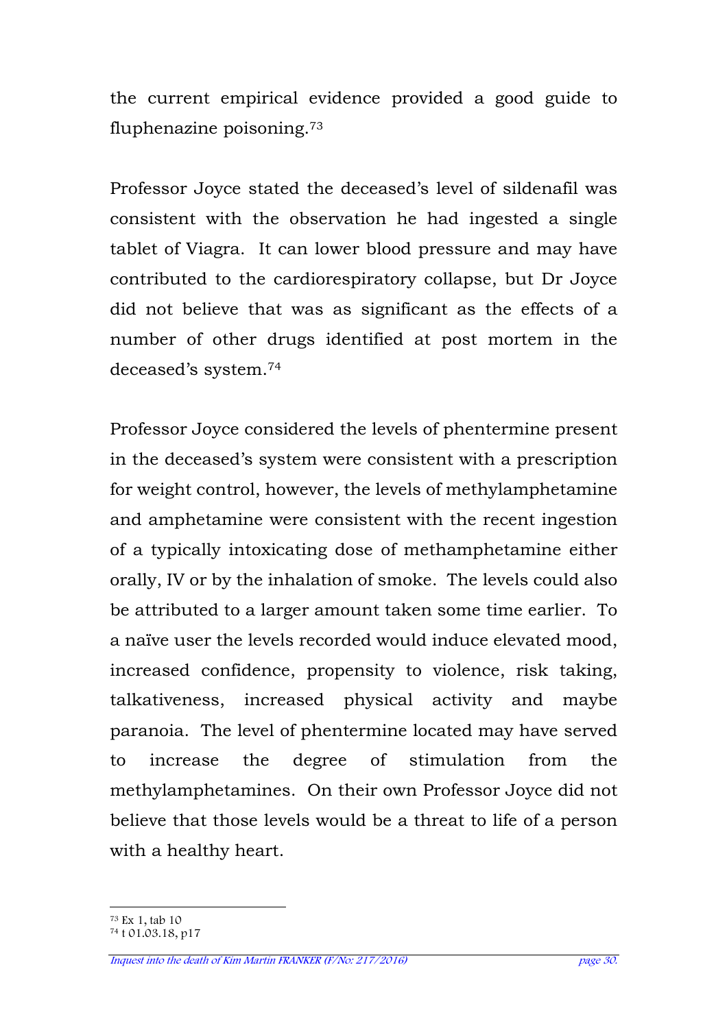the current empirical evidence provided a good guide to fluphenazine poisoning.<sup>73</sup>

Professor Joyce stated the deceased's level of sildenafil was consistent with the observation he had ingested a single tablet of Viagra. It can lower blood pressure and may have contributed to the cardiorespiratory collapse, but Dr Joyce did not believe that was as significant as the effects of a number of other drugs identified at post mortem in the deceased's system.<sup>74</sup>

Professor Joyce considered the levels of phentermine present in the deceased's system were consistent with a prescription for weight control, however, the levels of methylamphetamine and amphetamine were consistent with the recent ingestion of a typically intoxicating dose of methamphetamine either orally, IV or by the inhalation of smoke. The levels could also be attributed to a larger amount taken some time earlier. To a naïve user the levels recorded would induce elevated mood, increased confidence, propensity to violence, risk taking, talkativeness, increased physical activity and maybe paranoia. The level of phentermine located may have served to increase the degree of stimulation from the methylamphetamines. On their own Professor Joyce did not believe that those levels would be a threat to life of a person with a healthy heart.

 $\overline{a}$ <sup>73</sup> Ex 1, tab 10

<sup>74</sup> t 01.03.18, p17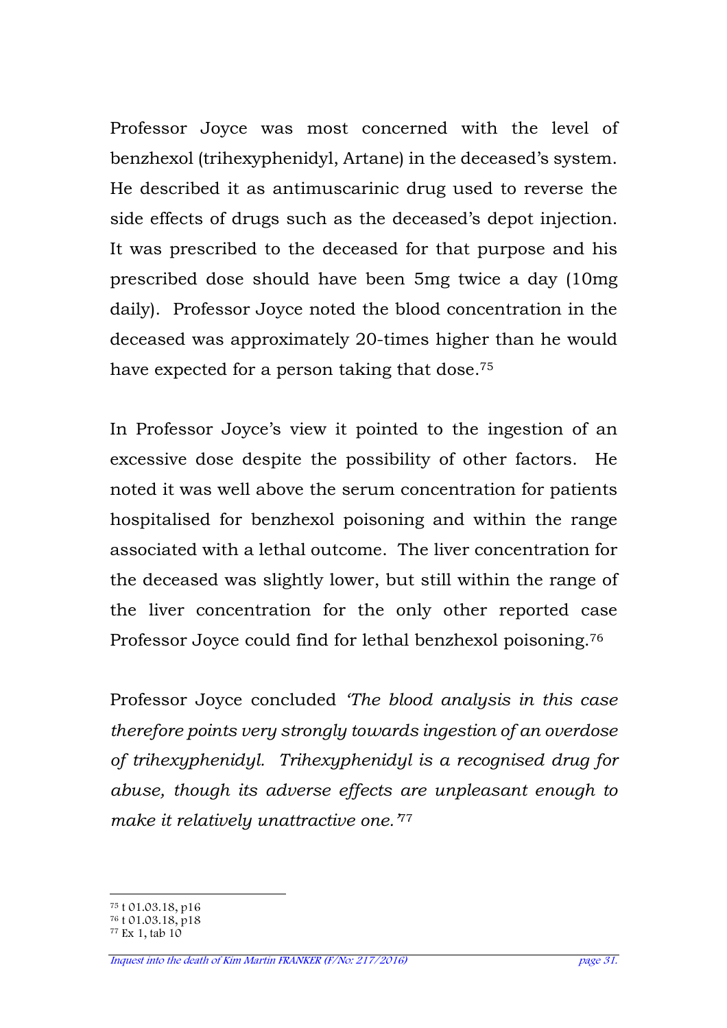Professor Joyce was most concerned with the level of benzhexol (trihexyphenidyl, Artane) in the deceased's system. He described it as antimuscarinic drug used to reverse the side effects of drugs such as the deceased's depot injection. It was prescribed to the deceased for that purpose and his prescribed dose should have been 5mg twice a day (10mg daily). Professor Joyce noted the blood concentration in the deceased was approximately 20-times higher than he would have expected for a person taking that dose.<sup>75</sup>

In Professor Joyce's view it pointed to the ingestion of an excessive dose despite the possibility of other factors. He noted it was well above the serum concentration for patients hospitalised for benzhexol poisoning and within the range associated with a lethal outcome. The liver concentration for the deceased was slightly lower, but still within the range of the liver concentration for the only other reported case Professor Joyce could find for lethal benzhexol poisoning.<sup>76</sup>

Professor Joyce concluded *'The blood analysis in this case therefore points very strongly towards ingestion of an overdose of trihexyphenidyl. Trihexyphenidyl is a recognised drug for abuse, though its adverse effects are unpleasant enough to make it relatively unattractive one.'*<sup>77</sup>

 $\overline{a}$ <sup>75</sup> t 01.03.18, p16

<sup>76</sup> t 01.03.18, p18  $77$  Ex 1, tab  $10$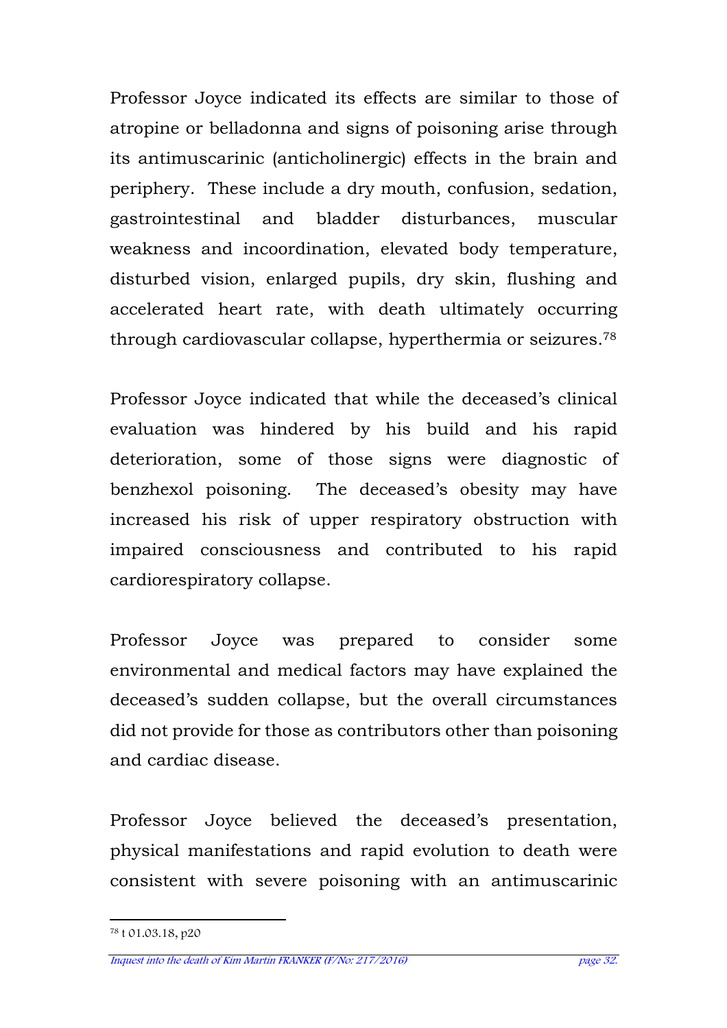Professor Joyce indicated its effects are similar to those of atropine or belladonna and signs of poisoning arise through its antimuscarinic (anticholinergic) effects in the brain and periphery. These include a dry mouth, confusion, sedation, gastrointestinal and bladder disturbances, muscular weakness and incoordination, elevated body temperature, disturbed vision, enlarged pupils, dry skin, flushing and accelerated heart rate, with death ultimately occurring through cardiovascular collapse, hyperthermia or seizures.<sup>78</sup>

Professor Joyce indicated that while the deceased's clinical evaluation was hindered by his build and his rapid deterioration, some of those signs were diagnostic of benzhexol poisoning. The deceased's obesity may have increased his risk of upper respiratory obstruction with impaired consciousness and contributed to his rapid cardiorespiratory collapse.

Professor Joyce was prepared to consider some environmental and medical factors may have explained the deceased's sudden collapse, but the overall circumstances did not provide for those as contributors other than poisoning and cardiac disease.

Professor Joyce believed the deceased's presentation, physical manifestations and rapid evolution to death were consistent with severe poisoning with an antimuscarinic

l 78 t 01.03.18, p20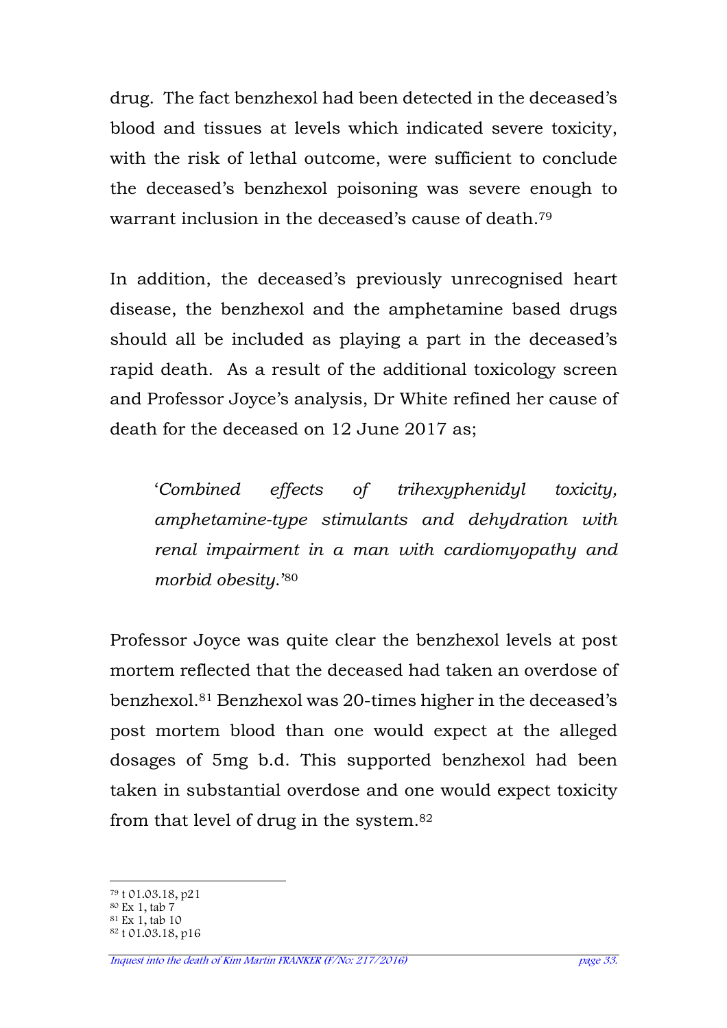drug. The fact benzhexol had been detected in the deceased's blood and tissues at levels which indicated severe toxicity, with the risk of lethal outcome, were sufficient to conclude the deceased's benzhexol poisoning was severe enough to warrant inclusion in the deceased's cause of death.<sup>79</sup>

In addition, the deceased's previously unrecognised heart disease, the benzhexol and the amphetamine based drugs should all be included as playing a part in the deceased's rapid death. As a result of the additional toxicology screen and Professor Joyce's analysis, Dr White refined her cause of death for the deceased on 12 June 2017 as;

'*Combined effects of trihexyphenidyl toxicity, amphetamine-type stimulants and dehydration with renal impairment in a man with cardiomyopathy and morbid obesity*.'<sup>80</sup>

Professor Joyce was quite clear the benzhexol levels at post mortem reflected that the deceased had taken an overdose of benzhexol.81 Benzhexol was 20-times higher in the deceased's post mortem blood than one would expect at the alleged dosages of 5mg b.d. This supported benzhexol had been taken in substantial overdose and one would expect toxicity from that level of drug in the system.<sup>82</sup>

 $\overline{a}$ <sup>79</sup> t 01.03.18, p21

<sup>80</sup> Ex 1, tab 7

<sup>81</sup> Ex 1, tab 10

<sup>82</sup> t 01.03.18, p16

Inquest into the death of Kim Martin FRANKER (F/No: 217/2016) page 33.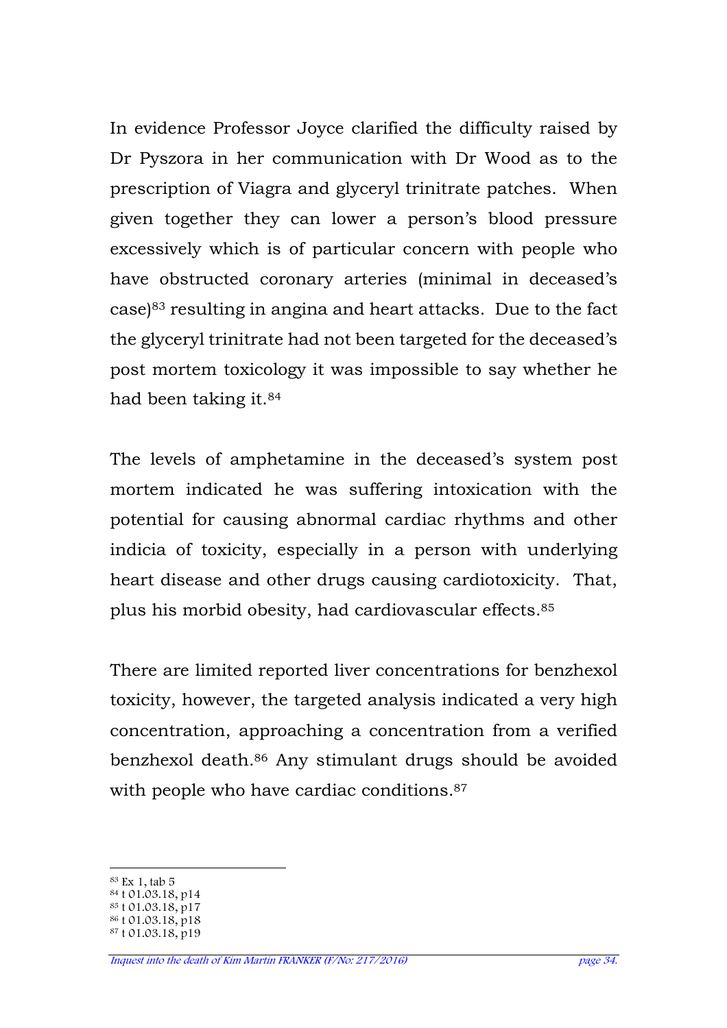In evidence Professor Joyce clarified the difficulty raised by Dr Pyszora in her communication with Dr Wood as to the prescription of Viagra and glyceryl trinitrate patches. When given together they can lower a person's blood pressure excessively which is of particular concern with people who have obstructed coronary arteries (minimal in deceased's case)83 resulting in angina and heart attacks. Due to the fact the glyceryl trinitrate had not been targeted for the deceased's post mortem toxicology it was impossible to say whether he had been taking it.<sup>84</sup>

The levels of amphetamine in the deceased's system post mortem indicated he was suffering intoxication with the potential for causing abnormal cardiac rhythms and other indicia of toxicity, especially in a person with underlying heart disease and other drugs causing cardiotoxicity. That, plus his morbid obesity, had cardiovascular effects. 85

There are limited reported liver concentrations for benzhexol toxicity, however, the targeted analysis indicated a very high concentration, approaching a concentration from a verified benzhexol death.86 Any stimulant drugs should be avoided with people who have cardiac conditions.<sup>87</sup>

 $\overline{a}$ <sup>83</sup> Ex 1, tab 5

<sup>84</sup> t 01.03.18, p14

 $85 \t{0}1.03.18, p17$ 

<sup>86</sup> t 01.03.18, p18

<sup>87</sup> t 01.03.18, p19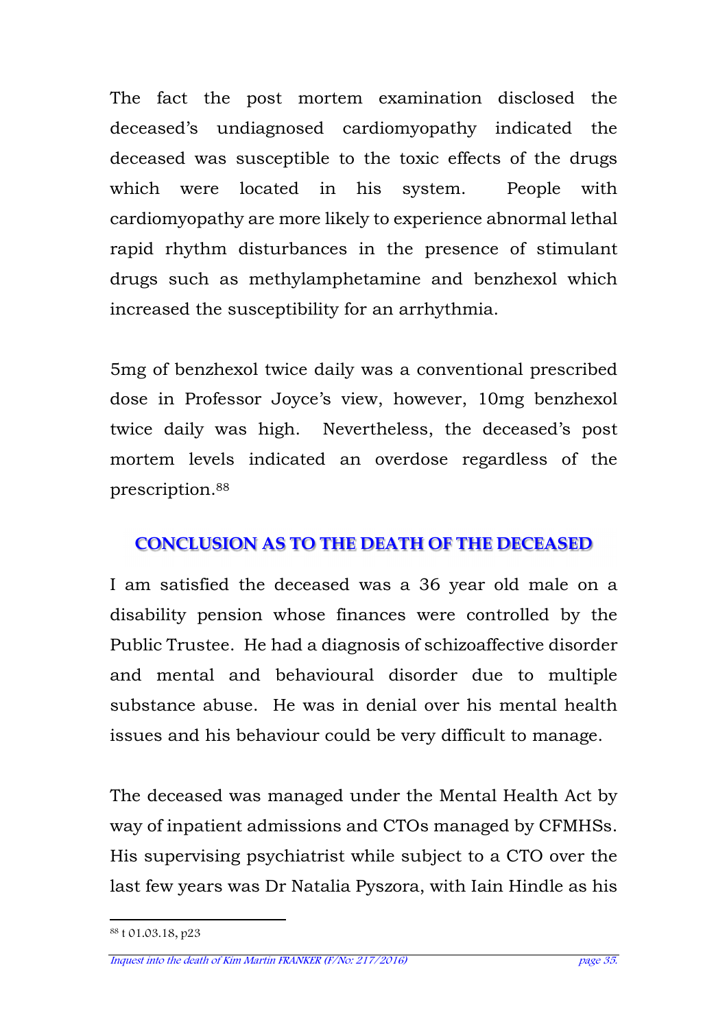The fact the post mortem examination disclosed the deceased's undiagnosed cardiomyopathy indicated the deceased was susceptible to the toxic effects of the drugs which were located in his system. People with cardiomyopathy are more likely to experience abnormal lethal rapid rhythm disturbances in the presence of stimulant drugs such as methylamphetamine and benzhexol which increased the susceptibility for an arrhythmia.

5mg of benzhexol twice daily was a conventional prescribed dose in Professor Joyce's view, however, 10mg benzhexol twice daily was high. Nevertheless, the deceased's post mortem levels indicated an overdose regardless of the prescription.<sup>88</sup>

# **CONCLUSION AS TO THE DEATH OF THE DECEASED**

I am satisfied the deceased was a 36 year old male on a disability pension whose finances were controlled by the Public Trustee. He had a diagnosis of schizoaffective disorder and mental and behavioural disorder due to multiple substance abuse. He was in denial over his mental health issues and his behaviour could be very difficult to manage.

The deceased was managed under the Mental Health Act by way of inpatient admissions and CTOs managed by CFMHSs. His supervising psychiatrist while subject to a CTO over the last few years was Dr Natalia Pyszora, with Iain Hindle as his

l 88 t 01.03.18, p23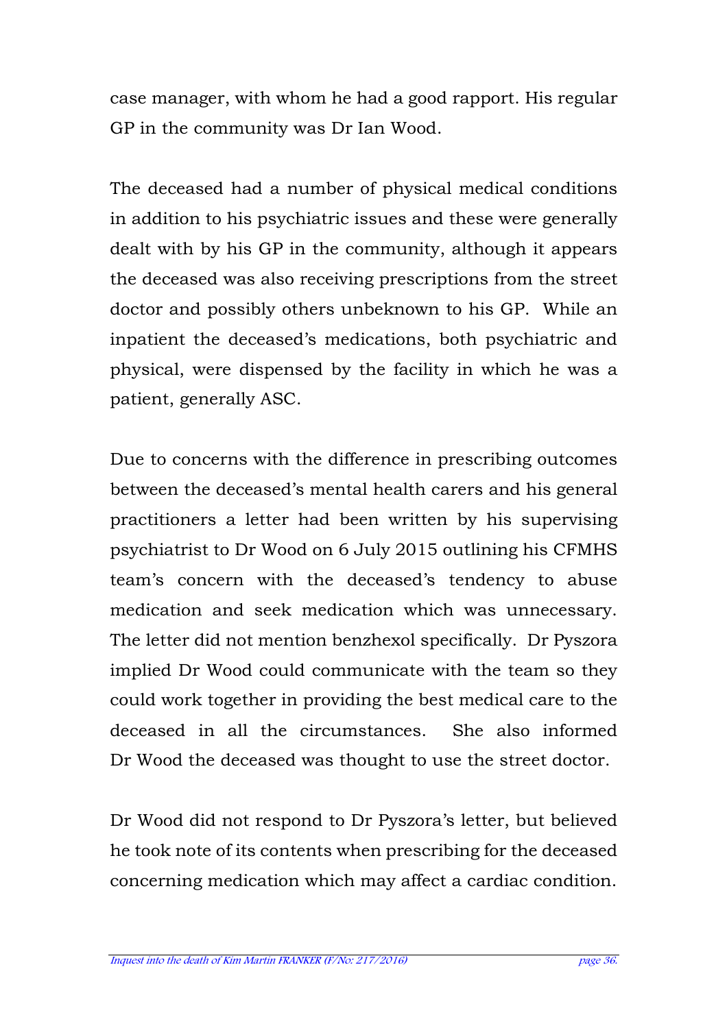case manager, with whom he had a good rapport. His regular GP in the community was Dr Ian Wood.

The deceased had a number of physical medical conditions in addition to his psychiatric issues and these were generally dealt with by his GP in the community, although it appears the deceased was also receiving prescriptions from the street doctor and possibly others unbeknown to his GP. While an inpatient the deceased's medications, both psychiatric and physical, were dispensed by the facility in which he was a patient, generally ASC.

Due to concerns with the difference in prescribing outcomes between the deceased's mental health carers and his general practitioners a letter had been written by his supervising psychiatrist to Dr Wood on 6 July 2015 outlining his CFMHS team's concern with the deceased's tendency to abuse medication and seek medication which was unnecessary. The letter did not mention benzhexol specifically. Dr Pyszora implied Dr Wood could communicate with the team so they could work together in providing the best medical care to the deceased in all the circumstances. She also informed Dr Wood the deceased was thought to use the street doctor.

Dr Wood did not respond to Dr Pyszora's letter, but believed he took note of its contents when prescribing for the deceased concerning medication which may affect a cardiac condition.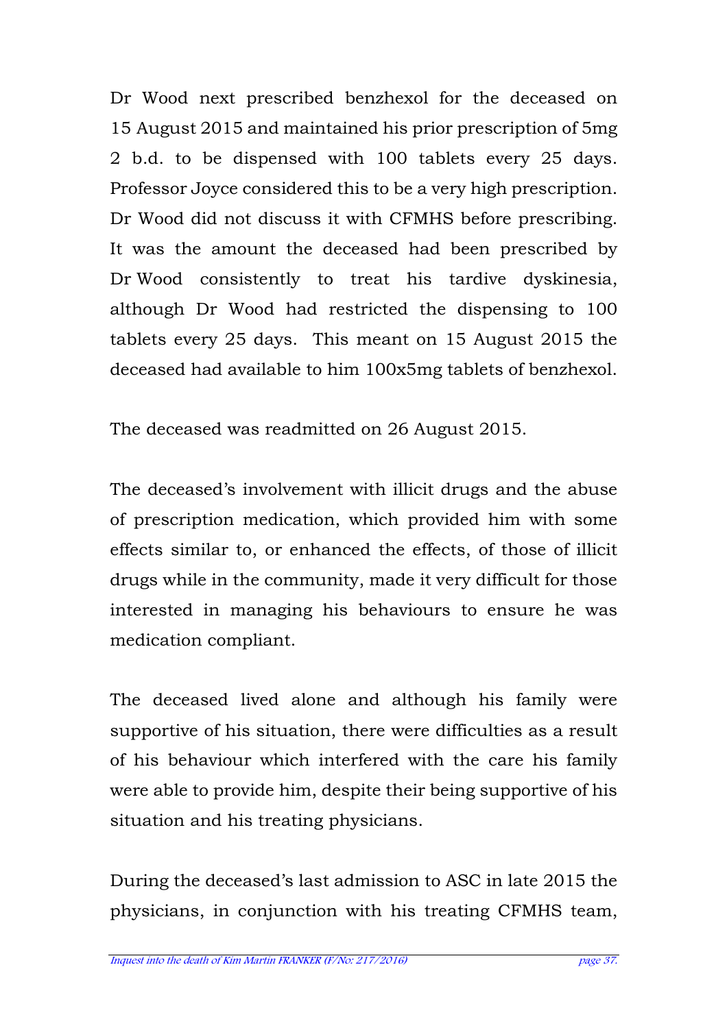Dr Wood next prescribed benzhexol for the deceased on 15 August 2015 and maintained his prior prescription of 5mg 2 b.d. to be dispensed with 100 tablets every 25 days. Professor Joyce considered this to be a very high prescription. Dr Wood did not discuss it with CFMHS before prescribing. It was the amount the deceased had been prescribed by Dr Wood consistently to treat his tardive dyskinesia, although Dr Wood had restricted the dispensing to 100 tablets every 25 days. This meant on 15 August 2015 the deceased had available to him 100x5mg tablets of benzhexol.

The deceased was readmitted on 26 August 2015.

The deceased's involvement with illicit drugs and the abuse of prescription medication, which provided him with some effects similar to, or enhanced the effects, of those of illicit drugs while in the community, made it very difficult for those interested in managing his behaviours to ensure he was medication compliant.

The deceased lived alone and although his family were supportive of his situation, there were difficulties as a result of his behaviour which interfered with the care his family were able to provide him, despite their being supportive of his situation and his treating physicians.

During the deceased's last admission to ASC in late 2015 the physicians, in conjunction with his treating CFMHS team,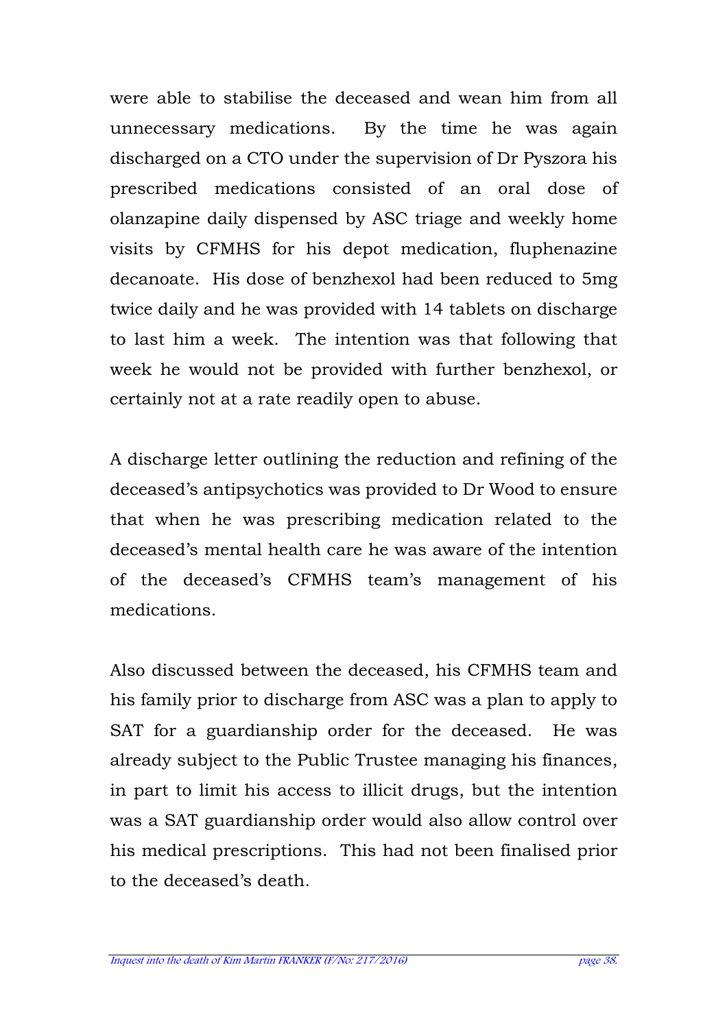were able to stabilise the deceased and wean him from all unnecessary medications. By the time he was again discharged on a CTO under the supervision of Dr Pyszora his prescribed medications consisted of an oral dose of olanzapine daily dispensed by ASC triage and weekly home visits by CFMHS for his depot medication, fluphenazine decanoate. His dose of benzhexol had been reduced to 5mg twice daily and he was provided with 14 tablets on discharge to last him a week. The intention was that following that week he would not be provided with further benzhexol, or certainly not at a rate readily open to abuse.

A discharge letter outlining the reduction and refining of the deceased's antipsychotics was provided to Dr Wood to ensure that when he was prescribing medication related to the deceased's mental health care he was aware of the intention of the deceased's CFMHS team's management of his medications.

Also discussed between the deceased, his CFMHS team and his family prior to discharge from ASC was a plan to apply to SAT for a guardianship order for the deceased. He was already subject to the Public Trustee managing his finances, in part to limit his access to illicit drugs, but the intention was a SAT guardianship order would also allow control over his medical prescriptions. This had not been finalised prior to the deceased's death.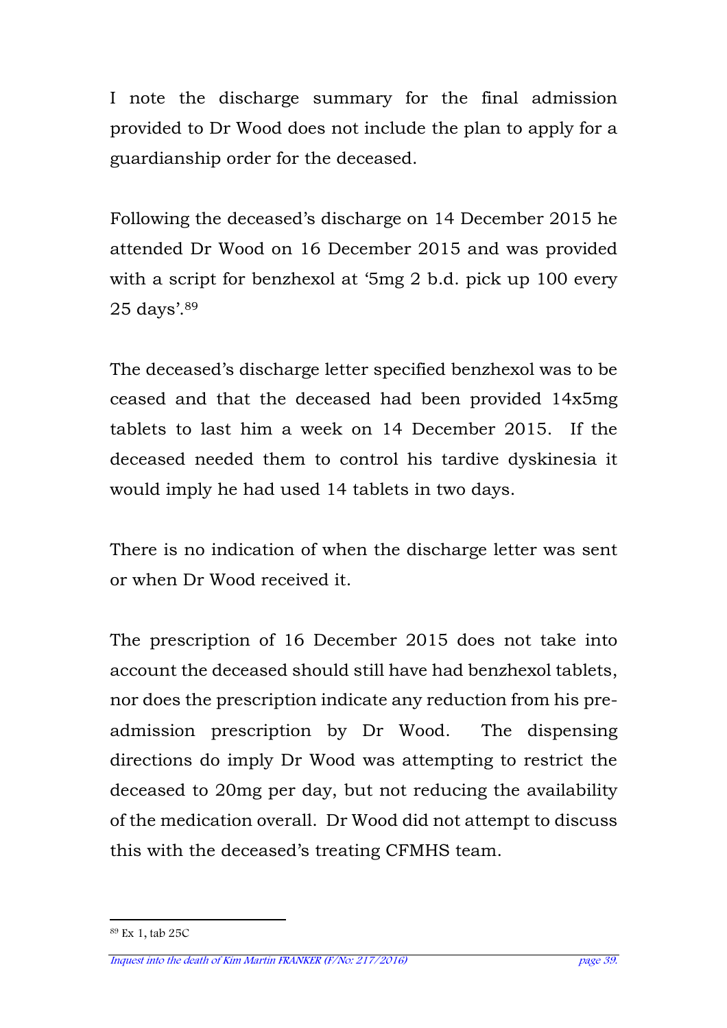I note the discharge summary for the final admission provided to Dr Wood does not include the plan to apply for a guardianship order for the deceased.

Following the deceased's discharge on 14 December 2015 he attended Dr Wood on 16 December 2015 and was provided with a script for benzhexol at '5mg 2 b.d. pick up 100 every 25 days'.<sup>89</sup>

The deceased's discharge letter specified benzhexol was to be ceased and that the deceased had been provided 14x5mg tablets to last him a week on 14 December 2015. If the deceased needed them to control his tardive dyskinesia it would imply he had used 14 tablets in two days.

There is no indication of when the discharge letter was sent or when Dr Wood received it.

The prescription of 16 December 2015 does not take into account the deceased should still have had benzhexol tablets, nor does the prescription indicate any reduction from his preadmission prescription by Dr Wood. The dispensing directions do imply Dr Wood was attempting to restrict the deceased to 20mg per day, but not reducing the availability of the medication overall. Dr Wood did not attempt to discuss this with the deceased's treating CFMHS team.

l

<sup>89</sup> Ex 1, tab 25C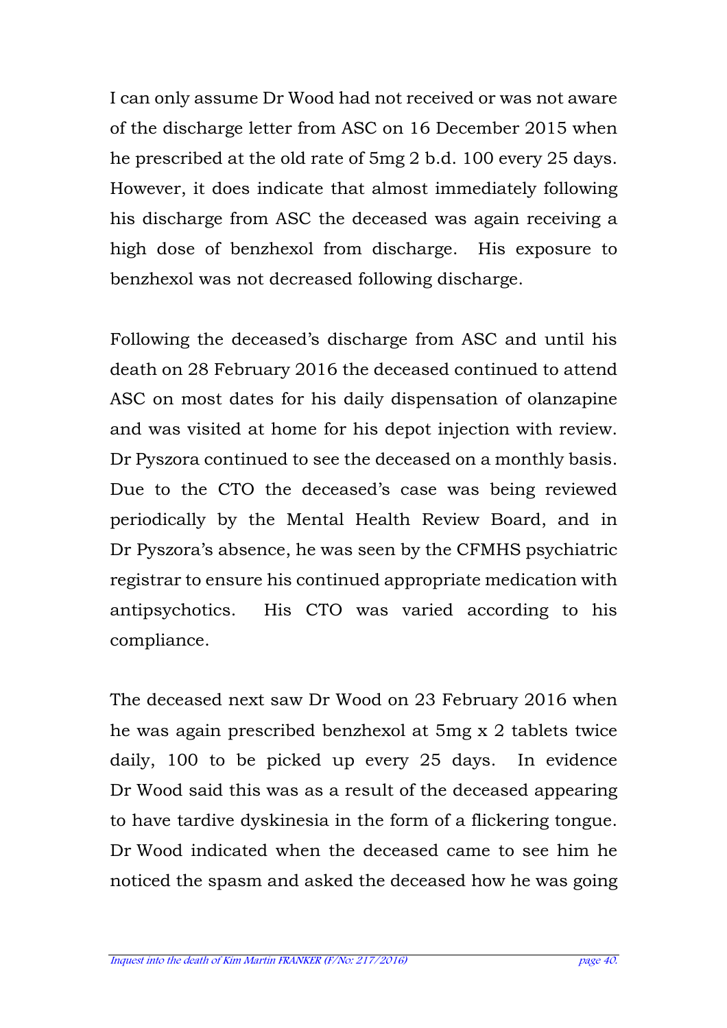I can only assume Dr Wood had not received or was not aware of the discharge letter from ASC on 16 December 2015 when he prescribed at the old rate of 5mg 2 b.d. 100 every 25 days. However, it does indicate that almost immediately following his discharge from ASC the deceased was again receiving a high dose of benzhexol from discharge. His exposure to benzhexol was not decreased following discharge.

Following the deceased's discharge from ASC and until his death on 28 February 2016 the deceased continued to attend ASC on most dates for his daily dispensation of olanzapine and was visited at home for his depot injection with review. Dr Pyszora continued to see the deceased on a monthly basis. Due to the CTO the deceased's case was being reviewed periodically by the Mental Health Review Board, and in Dr Pyszora's absence, he was seen by the CFMHS psychiatric registrar to ensure his continued appropriate medication with antipsychotics. His CTO was varied according to his compliance.

The deceased next saw Dr Wood on 23 February 2016 when he was again prescribed benzhexol at 5mg x 2 tablets twice daily, 100 to be picked up every 25 days. In evidence Dr Wood said this was as a result of the deceased appearing to have tardive dyskinesia in the form of a flickering tongue. Dr Wood indicated when the deceased came to see him he noticed the spasm and asked the deceased how he was going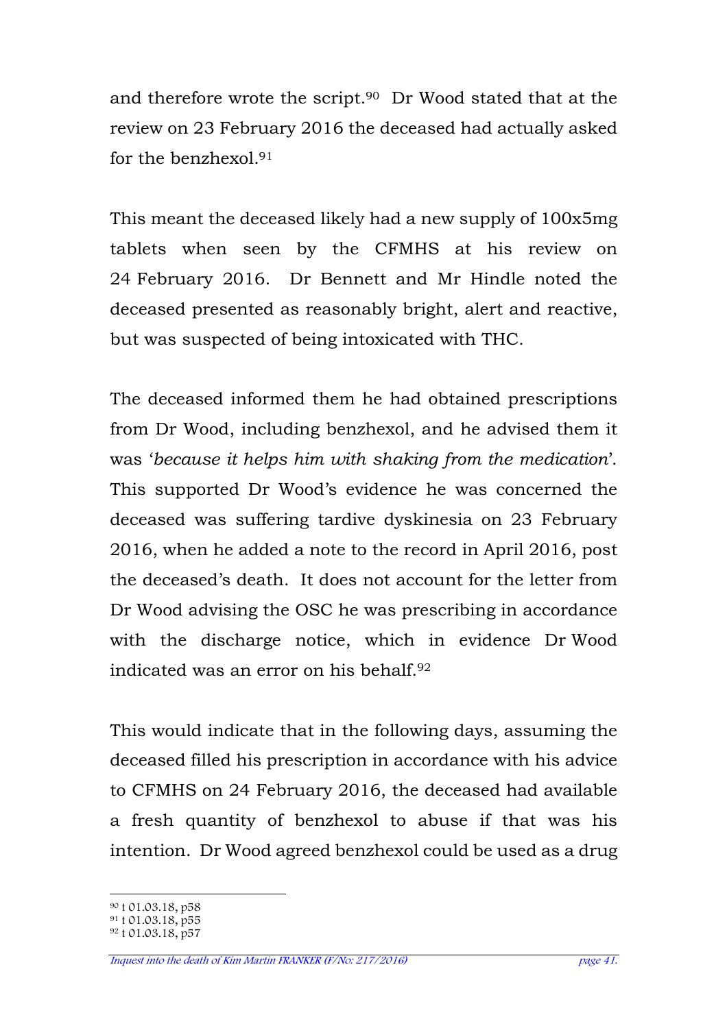and therefore wrote the script.90 Dr Wood stated that at the review on 23 February 2016 the deceased had actually asked for the benzhexol<sup>91</sup>

This meant the deceased likely had a new supply of 100x5mg tablets when seen by the CFMHS at his review on 24 February 2016. Dr Bennett and Mr Hindle noted the deceased presented as reasonably bright, alert and reactive, but was suspected of being intoxicated with THC.

The deceased informed them he had obtained prescriptions from Dr Wood, including benzhexol, and he advised them it was '*because it helps him with shaking from the medication*'. This supported Dr Wood's evidence he was concerned the deceased was suffering tardive dyskinesia on 23 February 2016, when he added a note to the record in April 2016, post the deceased's death. It does not account for the letter from Dr Wood advising the OSC he was prescribing in accordance with the discharge notice, which in evidence Dr Wood indicated was an error on his behalf.<sup>92</sup>

This would indicate that in the following days, assuming the deceased filled his prescription in accordance with his advice to CFMHS on 24 February 2016, the deceased had available a fresh quantity of benzhexol to abuse if that was his intention. Dr Wood agreed benzhexol could be used as a drug

 $\overline{a}$ <sup>90</sup> t 01.03.18, p58

 $91 \text{ t}$  01.03.18, p55

<sup>92</sup> t 01.03.18, p57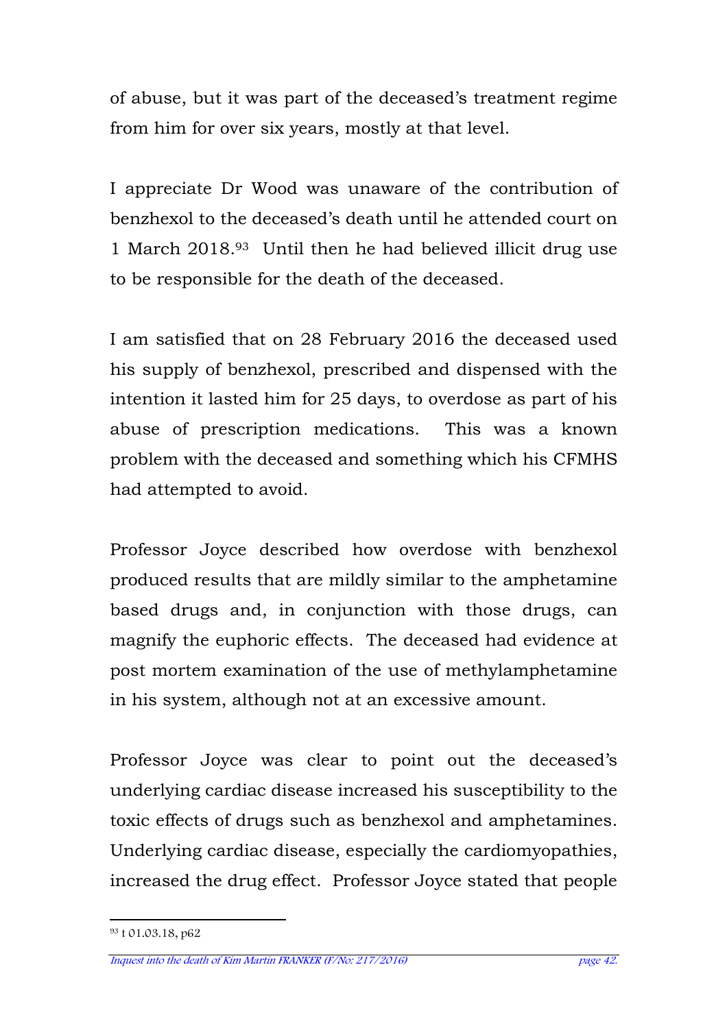of abuse, but it was part of the deceased's treatment regime from him for over six years, mostly at that level.

I appreciate Dr Wood was unaware of the contribution of benzhexol to the deceased's death until he attended court on 1 March 2018.93 Until then he had believed illicit drug use to be responsible for the death of the deceased.

I am satisfied that on 28 February 2016 the deceased used his supply of benzhexol, prescribed and dispensed with the intention it lasted him for 25 days, to overdose as part of his abuse of prescription medications. This was a known problem with the deceased and something which his CFMHS had attempted to avoid.

Professor Joyce described how overdose with benzhexol produced results that are mildly similar to the amphetamine based drugs and, in conjunction with those drugs, can magnify the euphoric effects. The deceased had evidence at post mortem examination of the use of methylamphetamine in his system, although not at an excessive amount.

Professor Joyce was clear to point out the deceased's underlying cardiac disease increased his susceptibility to the toxic effects of drugs such as benzhexol and amphetamines. Underlying cardiac disease, especially the cardiomyopathies, increased the drug effect. Professor Joyce stated that people

l 93 t 01.03.18, p62

Inquest into the death of Kim Martin FRANKER (F/No: 217/2016) page 42.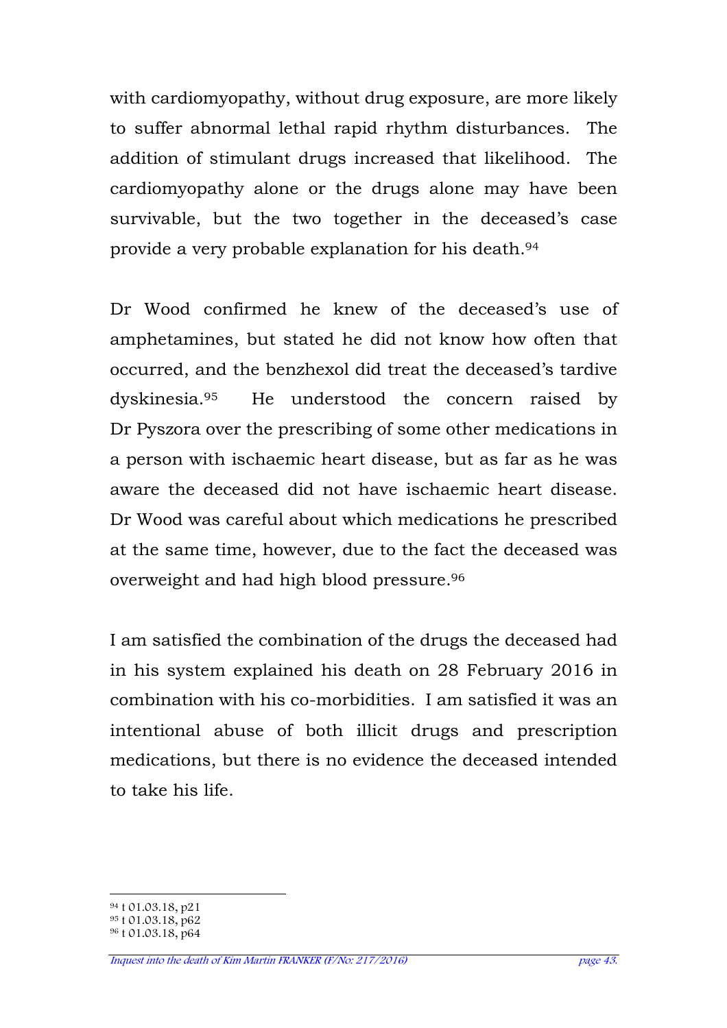with cardiomyopathy, without drug exposure, are more likely to suffer abnormal lethal rapid rhythm disturbances. The addition of stimulant drugs increased that likelihood. The cardiomyopathy alone or the drugs alone may have been survivable, but the two together in the deceased's case provide a very probable explanation for his death.<sup>94</sup>

Dr Wood confirmed he knew of the deceased's use of amphetamines, but stated he did not know how often that occurred, and the benzhexol did treat the deceased's tardive dyskinesia.95 He understood the concern raised by Dr Pyszora over the prescribing of some other medications in a person with ischaemic heart disease, but as far as he was aware the deceased did not have ischaemic heart disease. Dr Wood was careful about which medications he prescribed at the same time, however, due to the fact the deceased was overweight and had high blood pressure.<sup>96</sup>

I am satisfied the combination of the drugs the deceased had in his system explained his death on 28 February 2016 in combination with his co-morbidities. I am satisfied it was an intentional abuse of both illicit drugs and prescription medications, but there is no evidence the deceased intended to take his life.

 $\overline{a}$ <sup>94</sup> t 01.03.18, p21

<sup>95</sup> t 01.03.18, p62

<sup>96</sup> t 01.03.18, p64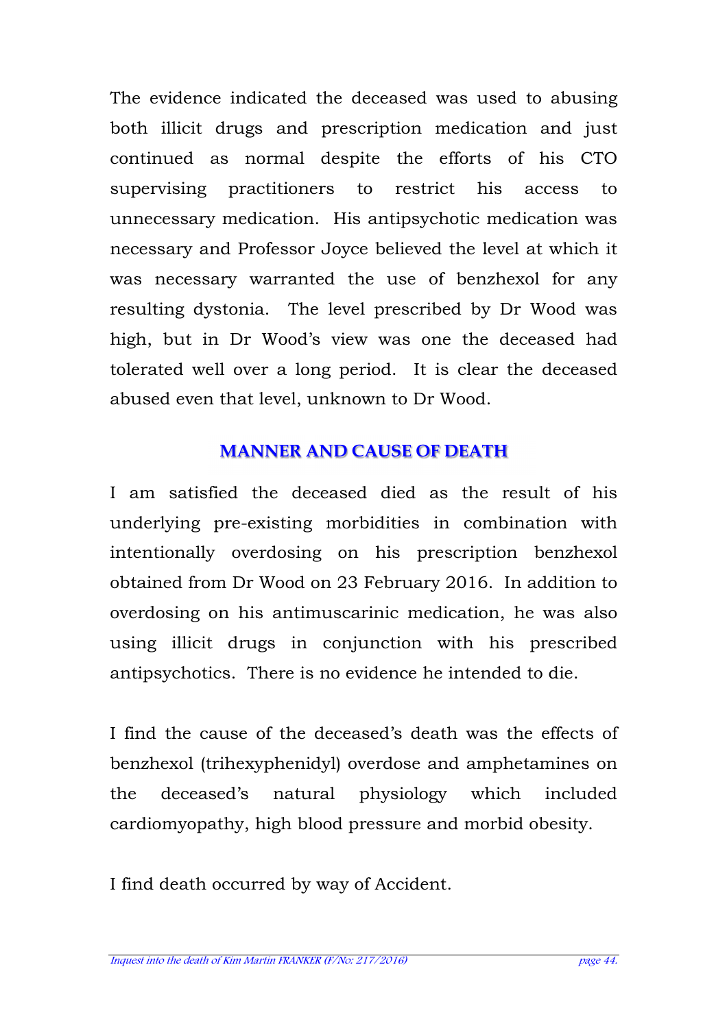The evidence indicated the deceased was used to abusing both illicit drugs and prescription medication and just continued as normal despite the efforts of his CTO supervising practitioners to restrict his access to unnecessary medication. His antipsychotic medication was necessary and Professor Joyce believed the level at which it was necessary warranted the use of benzhexol for any resulting dystonia. The level prescribed by Dr Wood was high, but in Dr Wood's view was one the deceased had tolerated well over a long period. It is clear the deceased abused even that level, unknown to Dr Wood.

## **MANNER AND CAUSE OF DEATH**

I am satisfied the deceased died as the result of his underlying pre-existing morbidities in combination with intentionally overdosing on his prescription benzhexol obtained from Dr Wood on 23 February 2016. In addition to overdosing on his antimuscarinic medication, he was also using illicit drugs in conjunction with his prescribed antipsychotics. There is no evidence he intended to die.

I find the cause of the deceased's death was the effects of benzhexol (trihexyphenidyl) overdose and amphetamines on the deceased's natural physiology which included cardiomyopathy, high blood pressure and morbid obesity.

I find death occurred by way of Accident.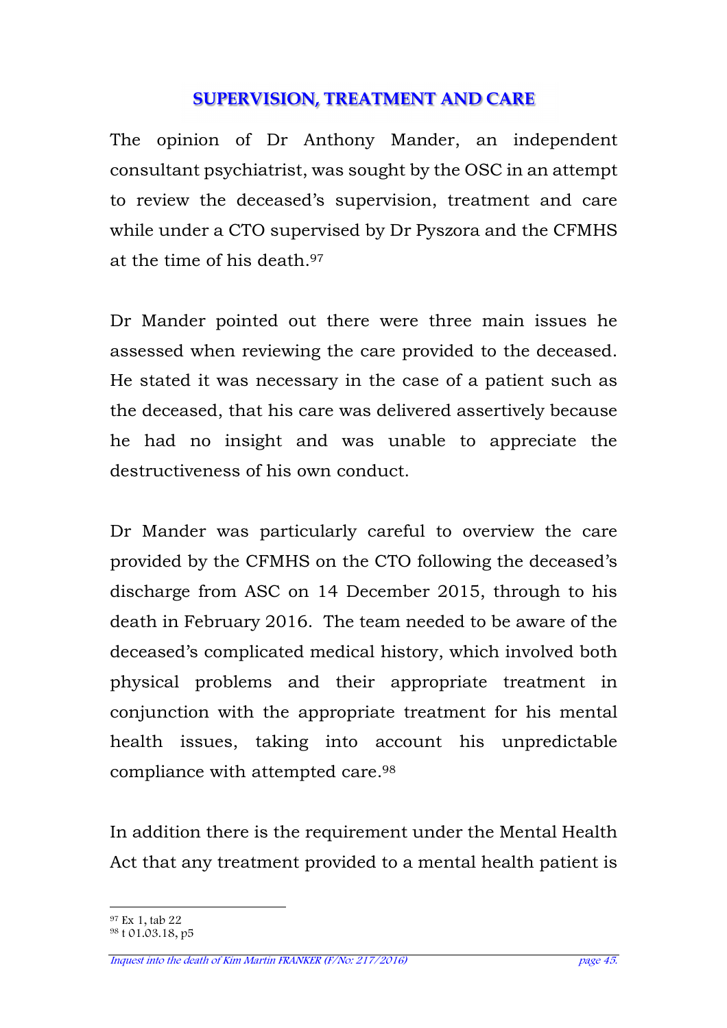### **SUPERVISION, TREATMENT AND CARE**

The opinion of Dr Anthony Mander, an independent consultant psychiatrist, was sought by the OSC in an attempt to review the deceased's supervision, treatment and care while under a CTO supervised by Dr Pyszora and the CFMHS at the time of his death.<sup>97</sup>

Dr Mander pointed out there were three main issues he assessed when reviewing the care provided to the deceased. He stated it was necessary in the case of a patient such as the deceased, that his care was delivered assertively because he had no insight and was unable to appreciate the destructiveness of his own conduct.

Dr Mander was particularly careful to overview the care provided by the CFMHS on the CTO following the deceased's discharge from ASC on 14 December 2015, through to his death in February 2016. The team needed to be aware of the deceased's complicated medical history, which involved both physical problems and their appropriate treatment in conjunction with the appropriate treatment for his mental health issues, taking into account his unpredictable compliance with attempted care.<sup>98</sup>

In addition there is the requirement under the Mental Health Act that any treatment provided to a mental health patient is

 $\overline{a}$ <sup>97</sup> Ex 1, tab 22

<sup>98</sup> t 01.03.18, p5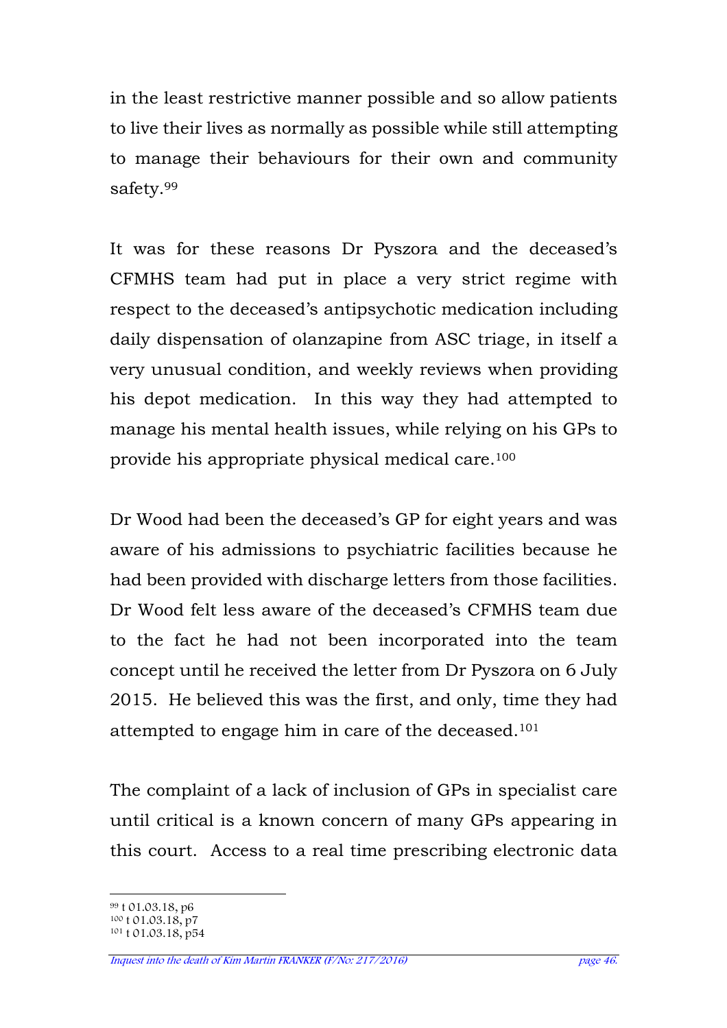in the least restrictive manner possible and so allow patients to live their lives as normally as possible while still attempting to manage their behaviours for their own and community safety.<sup>99</sup>

It was for these reasons Dr Pyszora and the deceased's CFMHS team had put in place a very strict regime with respect to the deceased's antipsychotic medication including daily dispensation of olanzapine from ASC triage, in itself a very unusual condition, and weekly reviews when providing his depot medication. In this way they had attempted to manage his mental health issues, while relying on his GPs to provide his appropriate physical medical care.<sup>100</sup>

Dr Wood had been the deceased's GP for eight years and was aware of his admissions to psychiatric facilities because he had been provided with discharge letters from those facilities. Dr Wood felt less aware of the deceased's CFMHS team due to the fact he had not been incorporated into the team concept until he received the letter from Dr Pyszora on 6 July 2015. He believed this was the first, and only, time they had attempted to engage him in care of the deceased.<sup>101</sup>

The complaint of a lack of inclusion of GPs in specialist care until critical is a known concern of many GPs appearing in this court. Access to a real time prescribing electronic data

 $\overline{a}$ <sup>99</sup> t 01.03.18, p6

<sup>&</sup>lt;sup>100</sup> t 01.03.18, p7

<sup>101</sup> t 01.03.18, p54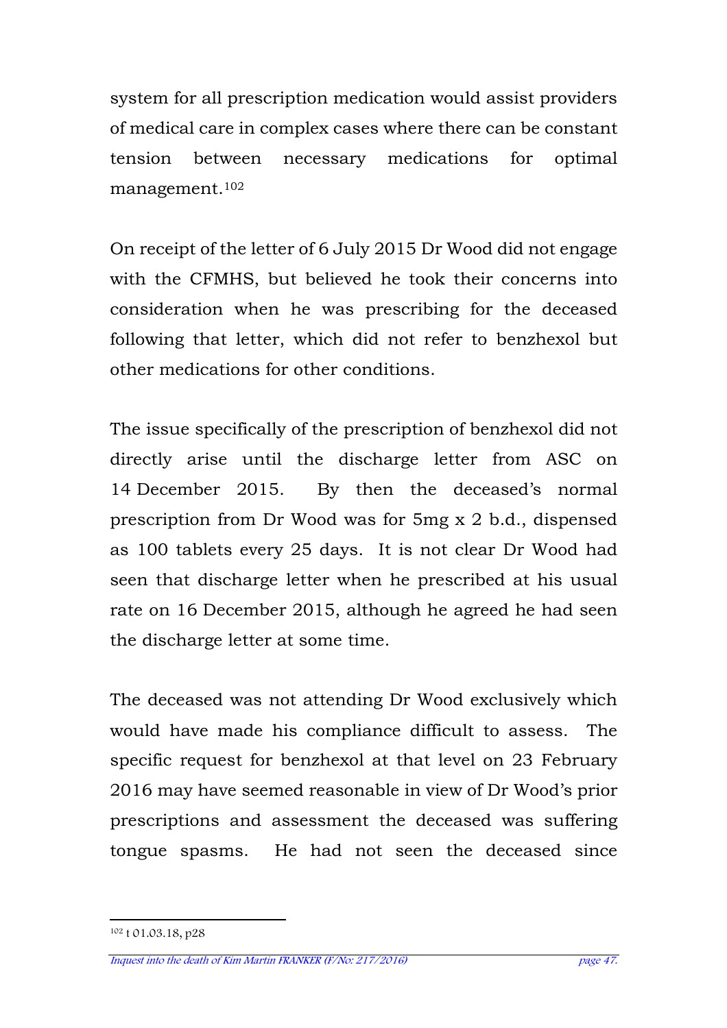system for all prescription medication would assist providers of medical care in complex cases where there can be constant tension between necessary medications for optimal management.<sup>102</sup>

On receipt of the letter of 6 July 2015 Dr Wood did not engage with the CFMHS, but believed he took their concerns into consideration when he was prescribing for the deceased following that letter, which did not refer to benzhexol but other medications for other conditions.

The issue specifically of the prescription of benzhexol did not directly arise until the discharge letter from ASC on 14 December 2015. By then the deceased's normal prescription from Dr Wood was for 5mg x 2 b.d., dispensed as 100 tablets every 25 days. It is not clear Dr Wood had seen that discharge letter when he prescribed at his usual rate on 16 December 2015, although he agreed he had seen the discharge letter at some time.

The deceased was not attending Dr Wood exclusively which would have made his compliance difficult to assess. The specific request for benzhexol at that level on 23 February 2016 may have seemed reasonable in view of Dr Wood's prior prescriptions and assessment the deceased was suffering tongue spasms. He had not seen the deceased since

l 102 t 01.03.18, p28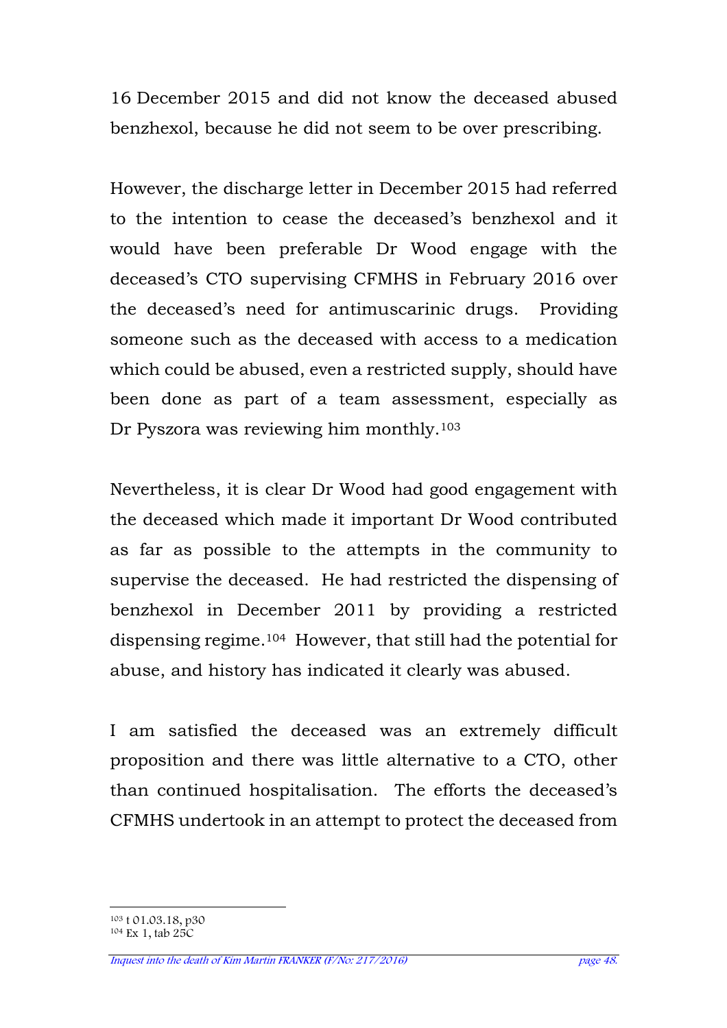16 December 2015 and did not know the deceased abused benzhexol, because he did not seem to be over prescribing.

However, the discharge letter in December 2015 had referred to the intention to cease the deceased's benzhexol and it would have been preferable Dr Wood engage with the deceased's CTO supervising CFMHS in February 2016 over the deceased's need for antimuscarinic drugs. Providing someone such as the deceased with access to a medication which could be abused, even a restricted supply, should have been done as part of a team assessment, especially as Dr Pyszora was reviewing him monthly.<sup>103</sup>

Nevertheless, it is clear Dr Wood had good engagement with the deceased which made it important Dr Wood contributed as far as possible to the attempts in the community to supervise the deceased. He had restricted the dispensing of benzhexol in December 2011 by providing a restricted dispensing regime.104 However, that still had the potential for abuse, and history has indicated it clearly was abused.

I am satisfied the deceased was an extremely difficult proposition and there was little alternative to a CTO, other than continued hospitalisation. The efforts the deceased's CFMHS undertook in an attempt to protect the deceased from

 $\overline{a}$ <sup>103</sup> t 01.03.18, p30 104 Ex 1, tab 25C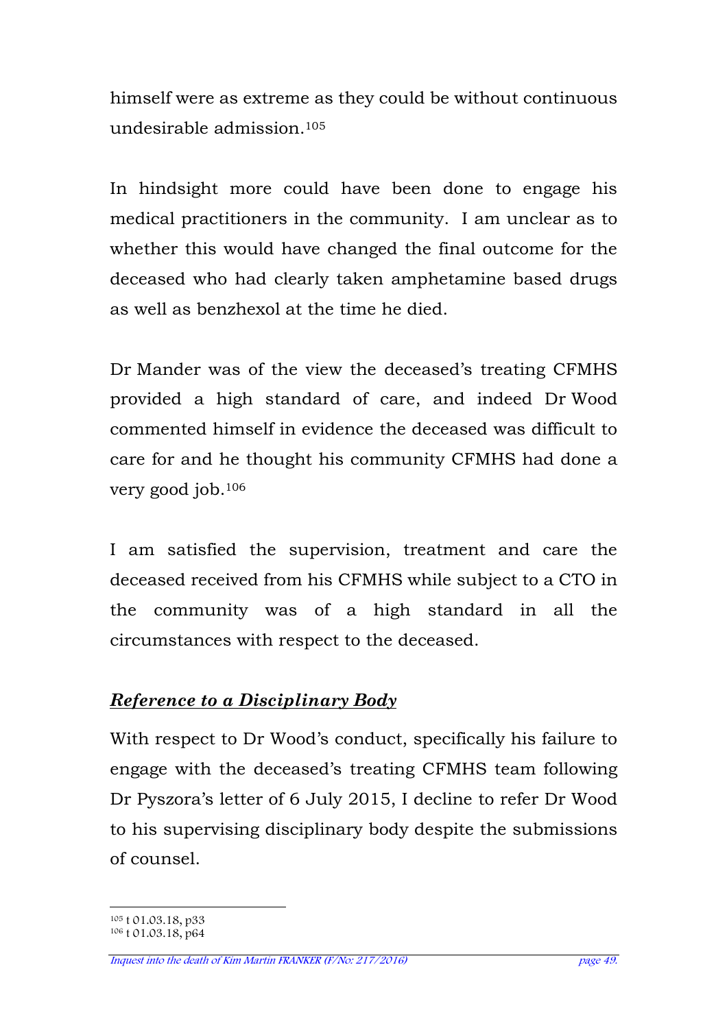himself were as extreme as they could be without continuous undesirable admission.<sup>105</sup>

In hindsight more could have been done to engage his medical practitioners in the community. I am unclear as to whether this would have changed the final outcome for the deceased who had clearly taken amphetamine based drugs as well as benzhexol at the time he died.

Dr Mander was of the view the deceased's treating CFMHS provided a high standard of care, and indeed Dr Wood commented himself in evidence the deceased was difficult to care for and he thought his community CFMHS had done a very good job.<sup>106</sup>

I am satisfied the supervision, treatment and care the deceased received from his CFMHS while subject to a CTO in the community was of a high standard in all the circumstances with respect to the deceased.

# *Reference to a Disciplinary Body*

With respect to Dr Wood's conduct, specifically his failure to engage with the deceased's treating CFMHS team following Dr Pyszora's letter of 6 July 2015, I decline to refer Dr Wood to his supervising disciplinary body despite the submissions of counsel.

 $\overline{a}$ <sup>105</sup> t 01.03.18, p33

<sup>106</sup> t 01.03.18, p64